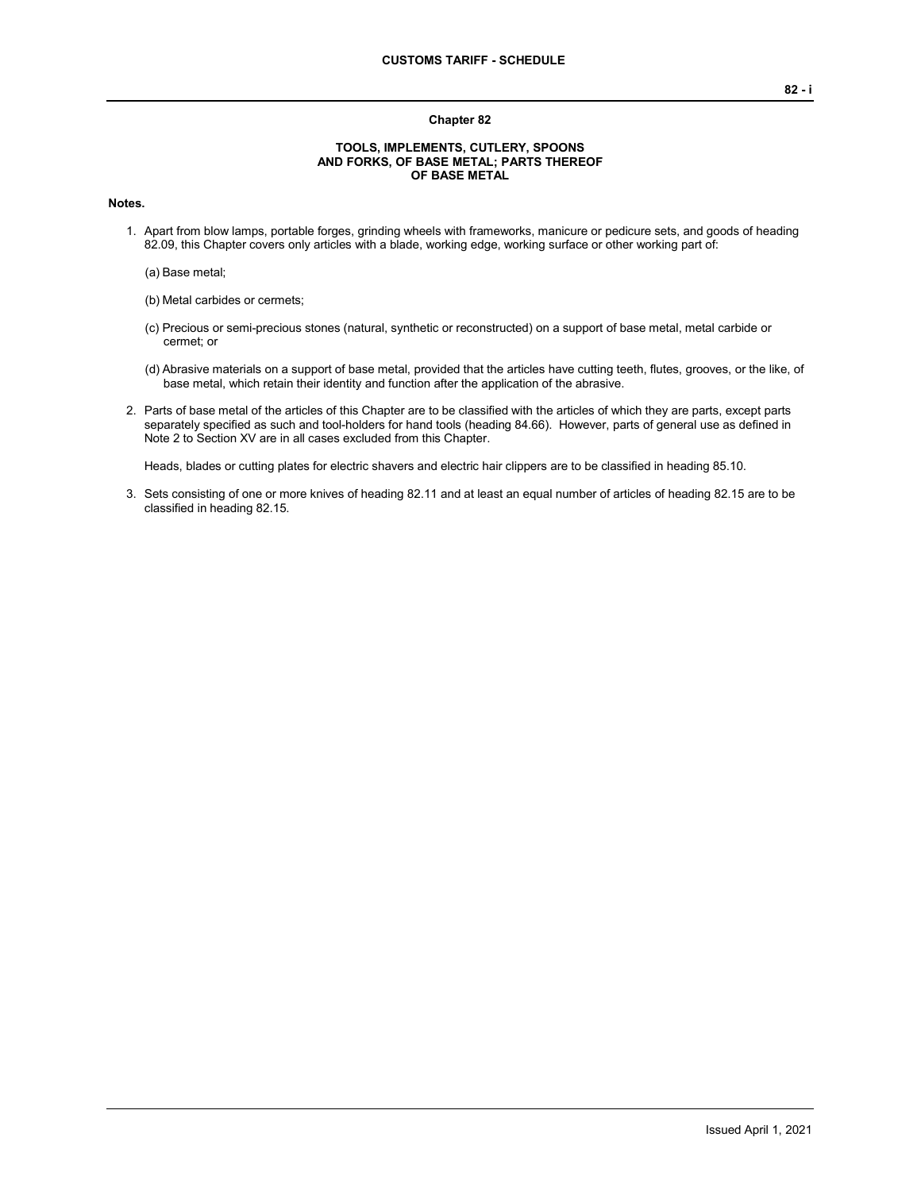#### **Chapter 82**

#### **TOOLS, IMPLEMENTS, CUTLERY, SPOONS AND FORKS, OF BASE METAL; PARTS THEREOF OF BASE METAL**

#### **Notes.**

- 1. Apart from blow lamps, portable forges, grinding wheels with frameworks, manicure or pedicure sets, and goods of heading 82.09, this Chapter covers only articles with a blade, working edge, working surface or other working part of:
	- (a) Base metal;
	- (b) Metal carbides or cermets;
	- (c) Precious or semi-precious stones (natural, synthetic or reconstructed) on a support of base metal, metal carbide or cermet; or
	- (d) Abrasive materials on a support of base metal, provided that the articles have cutting teeth, flutes, grooves, or the like, of base metal, which retain their identity and function after the application of the abrasive.
- 2. Parts of base metal of the articles of this Chapter are to be classified with the articles of which they are parts, except parts separately specified as such and tool-holders for hand tools (heading 84.66). However, parts of general use as defined in Note 2 to Section XV are in all cases excluded from this Chapter.

Heads, blades or cutting plates for electric shavers and electric hair clippers are to be classified in heading 85.10.

3. Sets consisting of one or more knives of heading 82.11 and at least an equal number of articles of heading 82.15 are to be classified in heading 82.15.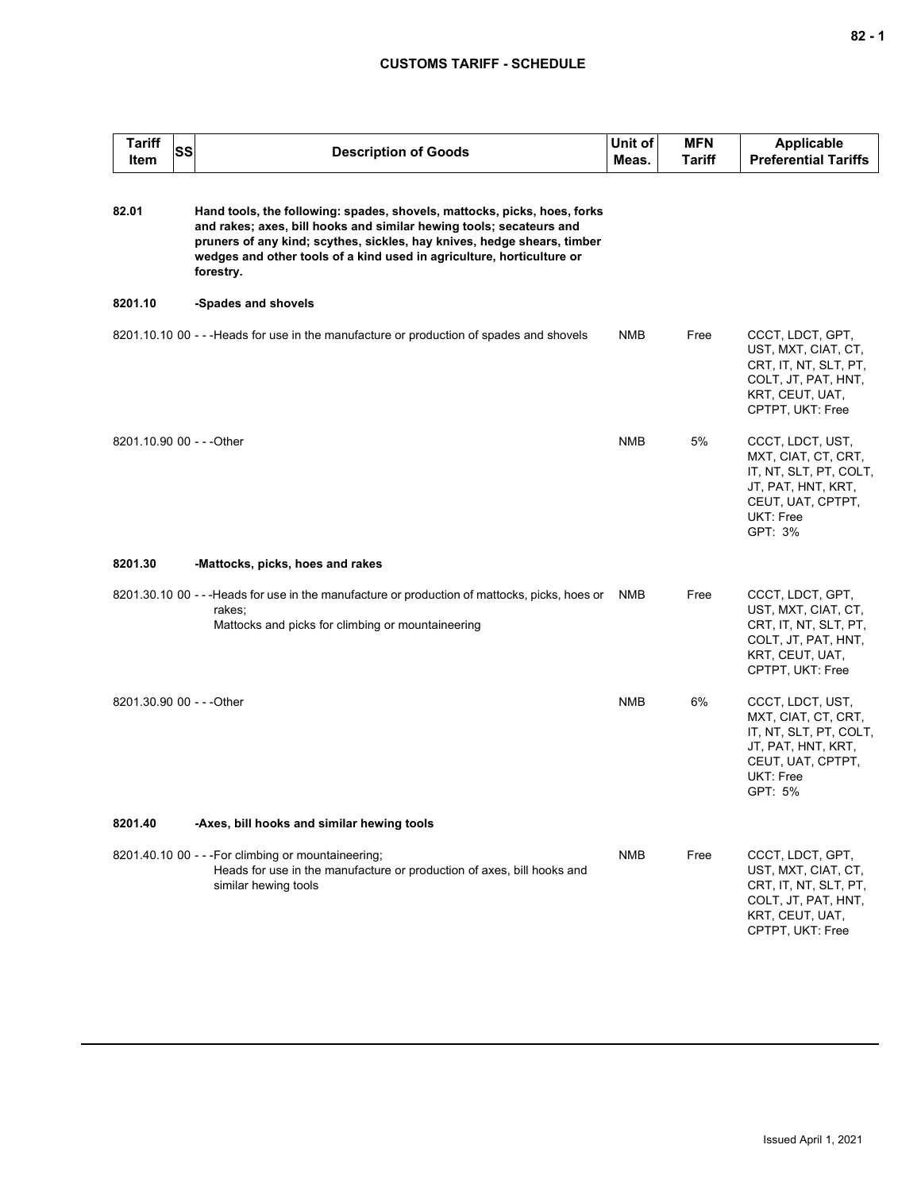| Tariff<br>Item            | <b>SS</b> | <b>Description of Goods</b>                                                                                                                                                                                                                                                                                      | Unit of<br>Meas. | <b>MFN</b><br>Tariff | <b>Applicable</b><br><b>Preferential Tariffs</b>                                                                                     |
|---------------------------|-----------|------------------------------------------------------------------------------------------------------------------------------------------------------------------------------------------------------------------------------------------------------------------------------------------------------------------|------------------|----------------------|--------------------------------------------------------------------------------------------------------------------------------------|
| 82.01                     |           | Hand tools, the following: spades, shovels, mattocks, picks, hoes, forks<br>and rakes; axes, bill hooks and similar hewing tools; secateurs and<br>pruners of any kind; scythes, sickles, hay knives, hedge shears, timber<br>wedges and other tools of a kind used in agriculture, horticulture or<br>forestry. |                  |                      |                                                                                                                                      |
| 8201.10                   |           | -Spades and shovels                                                                                                                                                                                                                                                                                              |                  |                      |                                                                                                                                      |
|                           |           | 8201.10.10 00 - - - Heads for use in the manufacture or production of spades and shovels                                                                                                                                                                                                                         | NMB              | Free                 | CCCT, LDCT, GPT,<br>UST, MXT, CIAT, CT,<br>CRT, IT, NT, SLT, PT,<br>COLT, JT, PAT, HNT,<br>KRT, CEUT, UAT,<br>CPTPT, UKT: Free       |
| 8201.10.90 00 - - - Other |           |                                                                                                                                                                                                                                                                                                                  | <b>NMB</b>       | 5%                   | CCCT, LDCT, UST,<br>MXT, CIAT, CT, CRT,<br>IT, NT, SLT, PT, COLT,<br>JT, PAT, HNT, KRT,<br>CEUT, UAT, CPTPT,<br>UKT: Free<br>GPT: 3% |
| 8201.30                   |           | -Mattocks, picks, hoes and rakes                                                                                                                                                                                                                                                                                 |                  |                      |                                                                                                                                      |
|                           |           | 8201.30.10 00 - - - Heads for use in the manufacture or production of mattocks, picks, hoes or<br>rakes;<br>Mattocks and picks for climbing or mountaineering                                                                                                                                                    | NMB              | Free                 | CCCT, LDCT, GPT,<br>UST, MXT, CIAT, CT,<br>CRT, IT, NT, SLT, PT,<br>COLT, JT, PAT, HNT,<br>KRT, CEUT, UAT,<br>CPTPT, UKT: Free       |
| 8201.30.90 00 - - - Other |           |                                                                                                                                                                                                                                                                                                                  | <b>NMB</b>       | 6%                   | CCCT, LDCT, UST,<br>MXT, CIAT, CT, CRT,<br>IT, NT, SLT, PT, COLT,<br>JT, PAT, HNT, KRT,<br>CEUT, UAT, CPTPT,<br>UKT: Free<br>GPT: 5% |
| 8201.40                   |           | -Axes, bill hooks and similar hewing tools                                                                                                                                                                                                                                                                       |                  |                      |                                                                                                                                      |
|                           |           | 8201.40.10 00 - - - For climbing or mountaineering;<br>Heads for use in the manufacture or production of axes, bill hooks and<br>similar hewing tools                                                                                                                                                            | <b>NMB</b>       | Free                 | CCCT, LDCT, GPT,<br>UST, MXT, CIAT, CT,<br>CRT, IT, NT, SLT, PT,<br>COLT, JT, PAT, HNT,<br>KRT, CEUT, UAT,<br>CPTPT, UKT: Free       |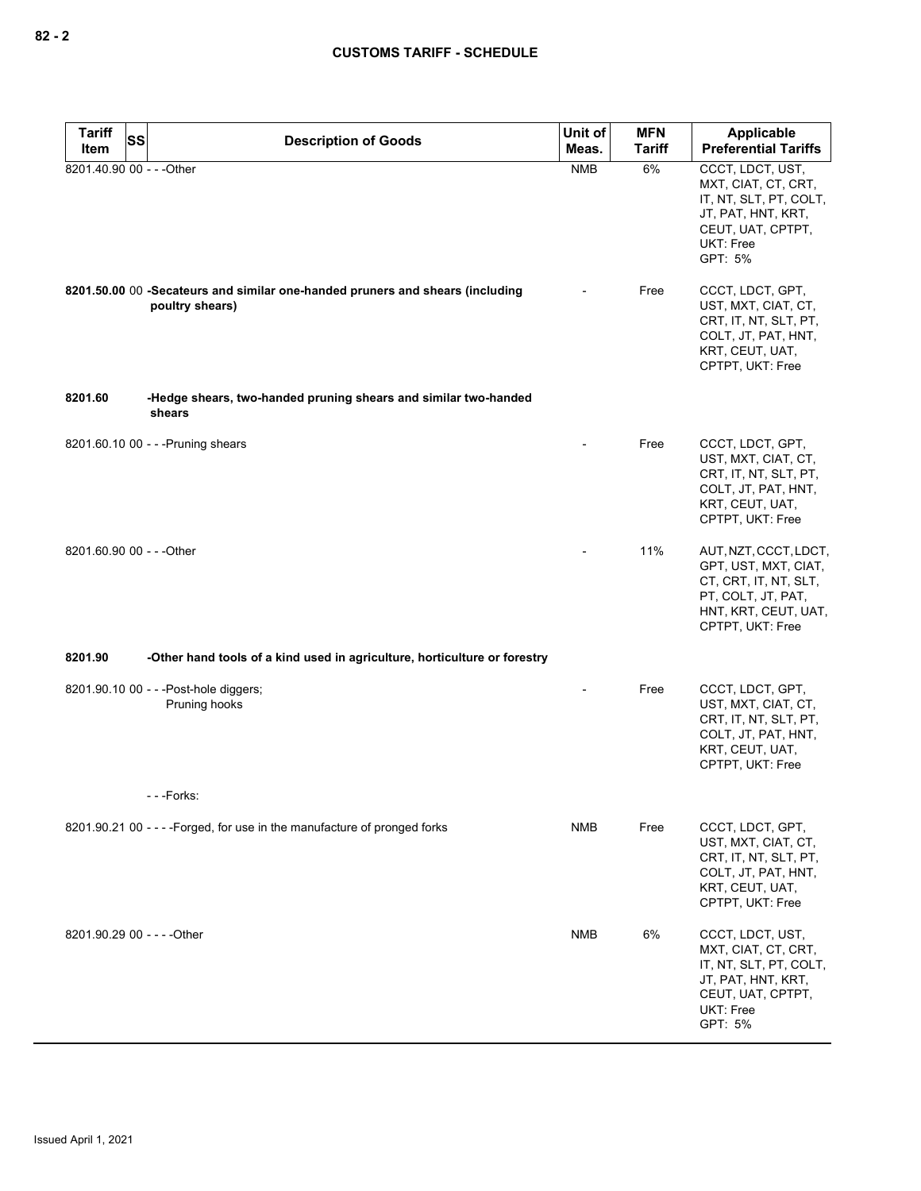| <b>Tariff</b><br>SS         | <b>Description of Goods</b>                                                                      | Unit of    | <b>MFN</b>    | <b>Applicable</b>                                                                                                                           |
|-----------------------------|--------------------------------------------------------------------------------------------------|------------|---------------|---------------------------------------------------------------------------------------------------------------------------------------------|
| Item                        |                                                                                                  | Meas.      | <b>Tariff</b> | <b>Preferential Tariffs</b>                                                                                                                 |
| 8201.40.90 00 - - - Other   |                                                                                                  | <b>NMB</b> | 6%            | CCCT, LDCT, UST,<br>MXT, CIAT, CT, CRT,<br>IT, NT, SLT, PT, COLT,<br>JT, PAT, HNT, KRT,<br>CEUT, UAT, CPTPT,<br>UKT: Free<br>GPT: 5%        |
|                             | 8201.50.00 00 -Secateurs and similar one-handed pruners and shears (including<br>poultry shears) |            | Free          | CCCT, LDCT, GPT,<br>UST, MXT, CIAT, CT,<br>CRT, IT, NT, SLT, PT,<br>COLT, JT, PAT, HNT,<br>KRT, CEUT, UAT,<br>CPTPT, UKT: Free              |
| 8201.60                     | -Hedge shears, two-handed pruning shears and similar two-handed<br>shears                        |            |               |                                                                                                                                             |
|                             | 8201.60.10 00 - - - Pruning shears                                                               |            | Free          | CCCT, LDCT, GPT,<br>UST, MXT, CIAT, CT,<br>CRT, IT, NT, SLT, PT,<br>COLT, JT, PAT, HNT,<br>KRT, CEUT, UAT,<br>CPTPT, UKT: Free              |
| 8201.60.90 00 - - - Other   |                                                                                                  |            | 11%           | AUT, NZT, CCCT, LDCT,<br>GPT, UST, MXT, CIAT,<br>CT, CRT, IT, NT, SLT,<br>PT, COLT, JT, PAT,<br>HNT, KRT, CEUT, UAT,<br>CPTPT, UKT: Free    |
| 8201.90                     | -Other hand tools of a kind used in agriculture, horticulture or forestry                        |            |               |                                                                                                                                             |
|                             | 8201.90.10 00 - - - Post-hole diggers;<br>Pruning hooks                                          |            | Free          | CCCT, LDCT, GPT,<br>UST, MXT, CIAT, CT,<br>CRT, IT, NT, SLT, PT,<br>COLT, JT, PAT, HNT,<br>KRT, CEUT, UAT,<br>CPTPT, UKT: Free              |
|                             | ---Forks:                                                                                        |            |               |                                                                                                                                             |
|                             | 8201.90.21 00 - - - - Forged, for use in the manufacture of pronged forks                        | NMB        | Free          | CCCT, LDCT, GPT,<br>UST, MXT, CIAT, CT,<br>CRT, IT, NT, SLT, PT,<br>COLT, JT, PAT, HNT,<br>KRT, CEUT, UAT,<br>CPTPT, UKT: Free              |
| 8201.90.29 00 - - - - Other |                                                                                                  | NMB        | 6%            | CCCT, LDCT, UST,<br>MXT, CIAT, CT, CRT,<br>IT, NT, SLT, PT, COLT,<br>JT, PAT, HNT, KRT,<br>CEUT, UAT, CPTPT,<br><b>UKT: Free</b><br>GPT: 5% |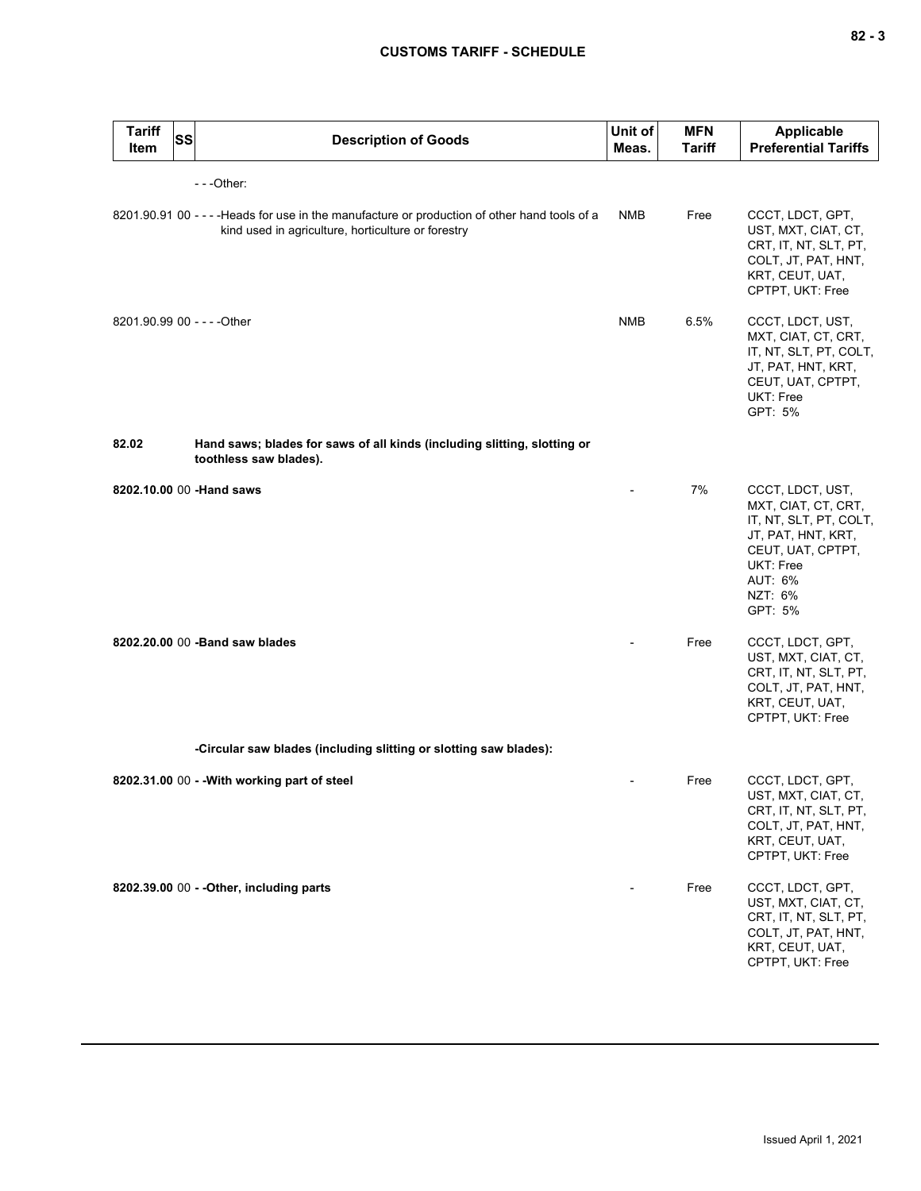| <b>Tariff</b><br><b>Item</b> | <b>SS</b> | <b>Description of Goods</b>                                                                                                                         | Unit of<br>Meas. | <b>MFN</b><br><b>Tariff</b> | <b>Applicable</b><br><b>Preferential Tariffs</b>                                                                                                           |
|------------------------------|-----------|-----------------------------------------------------------------------------------------------------------------------------------------------------|------------------|-----------------------------|------------------------------------------------------------------------------------------------------------------------------------------------------------|
|                              |           | ---Other:                                                                                                                                           |                  |                             |                                                                                                                                                            |
|                              |           | 8201.90.91 00 - - - - Heads for use in the manufacture or production of other hand tools of a<br>kind used in agriculture, horticulture or forestry | NMB              | Free                        | CCCT, LDCT, GPT,<br>UST, MXT, CIAT, CT,<br>CRT, IT, NT, SLT, PT,<br>COLT, JT, PAT, HNT,<br>KRT, CEUT, UAT,<br>CPTPT, UKT: Free                             |
|                              |           | 8201.90.99 00 - - - - Other                                                                                                                         | <b>NMB</b>       | 6.5%                        | CCCT, LDCT, UST,<br>MXT, CIAT, CT, CRT,<br>IT, NT, SLT, PT, COLT,<br>JT, PAT, HNT, KRT,<br>CEUT, UAT, CPTPT,<br>UKT: Free<br>GPT: 5%                       |
| 82.02                        |           | Hand saws; blades for saws of all kinds (including slitting, slotting or<br>toothless saw blades).                                                  |                  |                             |                                                                                                                                                            |
|                              |           | 8202.10.00 00 -Hand saws                                                                                                                            |                  | 7%                          | CCCT, LDCT, UST,<br>MXT, CIAT, CT, CRT,<br>IT, NT, SLT, PT, COLT,<br>JT, PAT, HNT, KRT,<br>CEUT, UAT, CPTPT,<br>UKT: Free<br>AUT: 6%<br>NZT: 6%<br>GPT: 5% |
|                              |           | 8202.20.00 00 - Band saw blades                                                                                                                     |                  | Free                        | CCCT, LDCT, GPT,<br>UST, MXT, CIAT, CT,<br>CRT, IT, NT, SLT, PT,<br>COLT, JT, PAT, HNT,<br>KRT, CEUT, UAT,<br>CPTPT, UKT: Free                             |
|                              |           | -Circular saw blades (including slitting or slotting saw blades):                                                                                   |                  |                             |                                                                                                                                                            |
|                              |           | 8202.31.00 00 - - With working part of steel                                                                                                        | $\blacksquare$   | Free                        | CCCT, LDCT, GPT,<br>UST, MXT, CIAT, CT,<br>CRT, IT, NT, SLT, PT,<br>COLT, JT, PAT, HNT,<br>KRT, CEUT, UAT,<br>CPTPT, UKT: Free                             |
|                              |           | 8202.39.00 00 - - Other, including parts                                                                                                            |                  | Free                        | CCCT, LDCT, GPT,<br>UST, MXT, CIAT, CT,<br>CRT, IT, NT, SLT, PT,<br>COLT, JT, PAT, HNT,<br>KRT, CEUT, UAT,<br>CPTPT, UKT: Free                             |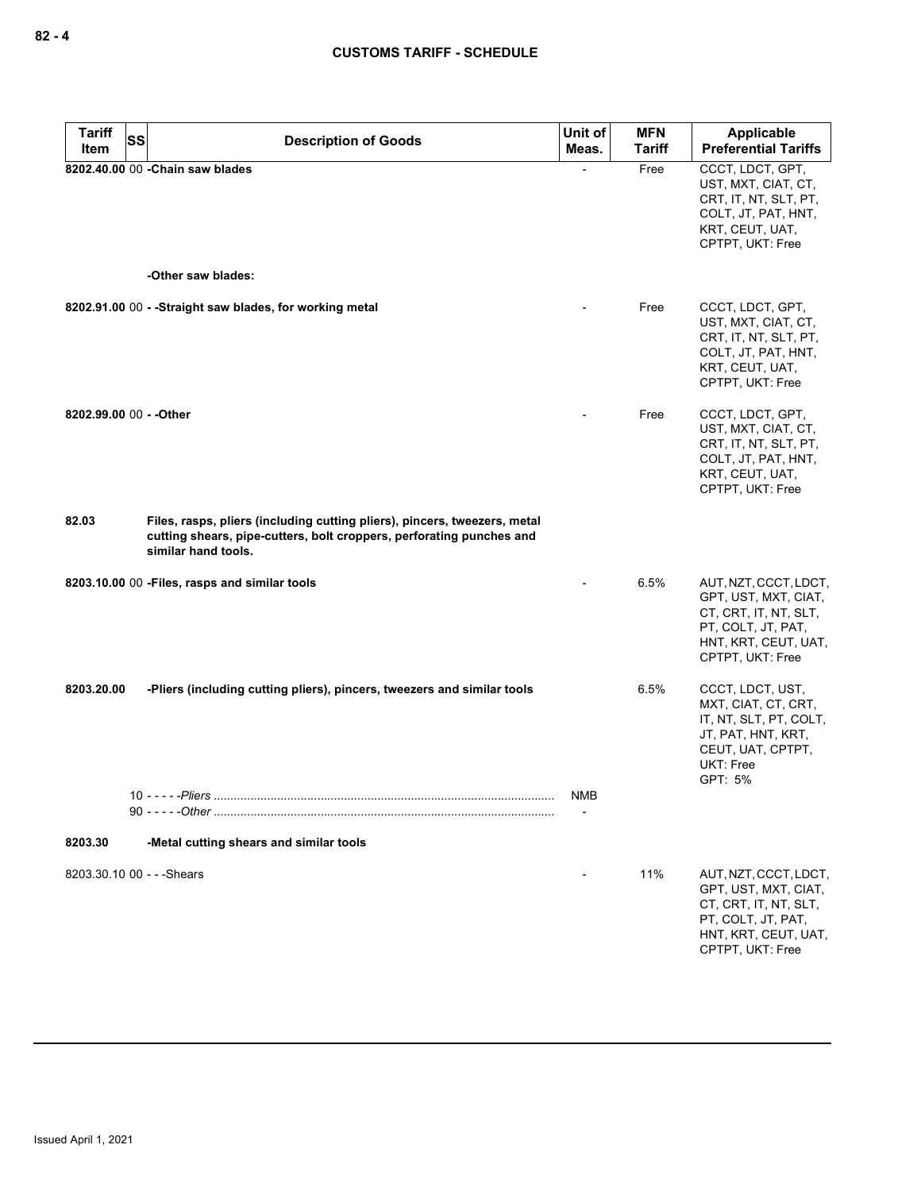| Tariff<br><b>SS</b><br>Item | <b>Description of Goods</b>                                                                                                                                              | Unit of<br>Meas. | <b>MFN</b><br><b>Tariff</b> | Applicable<br><b>Preferential Tariffs</b>                                                                                                   |
|-----------------------------|--------------------------------------------------------------------------------------------------------------------------------------------------------------------------|------------------|-----------------------------|---------------------------------------------------------------------------------------------------------------------------------------------|
|                             | 8202.40.00 00 - Chain saw blades                                                                                                                                         |                  | Free                        | CCCT, LDCT, GPT,<br>UST, MXT, CIAT, CT,<br>CRT, IT, NT, SLT, PT,<br>COLT, JT, PAT, HNT,<br>KRT, CEUT, UAT,<br>CPTPT, UKT: Free              |
|                             | -Other saw blades:                                                                                                                                                       |                  |                             |                                                                                                                                             |
|                             | 8202.91.00 00 - - Straight saw blades, for working metal                                                                                                                 |                  | Free                        | CCCT, LDCT, GPT,<br>UST, MXT, CIAT, CT,<br>CRT, IT, NT, SLT, PT,<br>COLT, JT, PAT, HNT,<br>KRT, CEUT, UAT,<br>CPTPT, UKT: Free              |
| 8202.99.00 00 - - Other     |                                                                                                                                                                          |                  | Free                        | CCCT, LDCT, GPT,<br>UST, MXT, CIAT, CT,<br>CRT, IT, NT, SLT, PT,<br>COLT, JT, PAT, HNT,<br>KRT, CEUT, UAT,<br>CPTPT, UKT: Free              |
| 82.03                       | Files, rasps, pliers (including cutting pliers), pincers, tweezers, metal<br>cutting shears, pipe-cutters, bolt croppers, perforating punches and<br>similar hand tools. |                  |                             |                                                                                                                                             |
|                             | 8203.10.00 00 - Files, rasps and similar tools                                                                                                                           |                  | 6.5%                        | AUT, NZT, CCCT, LDCT,<br>GPT, UST, MXT, CIAT,<br>CT, CRT, IT, NT, SLT,<br>PT, COLT, JT, PAT,<br>HNT, KRT, CEUT, UAT,<br>CPTPT, UKT: Free    |
| 8203.20.00                  | -Pliers (including cutting pliers), pincers, tweezers and similar tools<br>$10 - - -$ -Pliers                                                                            |                  | 6.5%                        | CCCT, LDCT, UST,<br>MXT, CIAT, CT, CRT,<br>IT, NT, SLT, PT, COLT,<br>JT, PAT, HNT, KRT,<br>CEUT, UAT, CPTPT,<br><b>UKT: Free</b><br>GPT: 5% |
|                             |                                                                                                                                                                          | <b>NMB</b>       |                             |                                                                                                                                             |
| 8203.30                     | -Metal cutting shears and similar tools                                                                                                                                  |                  |                             |                                                                                                                                             |
| 8203.30.10 00 - - - Shears  |                                                                                                                                                                          |                  | 11%                         | AUT, NZT, CCCT, LDCT,<br>GPT, UST, MXT, CIAT,<br>CT, CRT, IT, NT, SLT,<br>PT, COLT, JT, PAT,<br>HNT, KRT, CEUT, UAT,<br>CPTPT, UKT: Free    |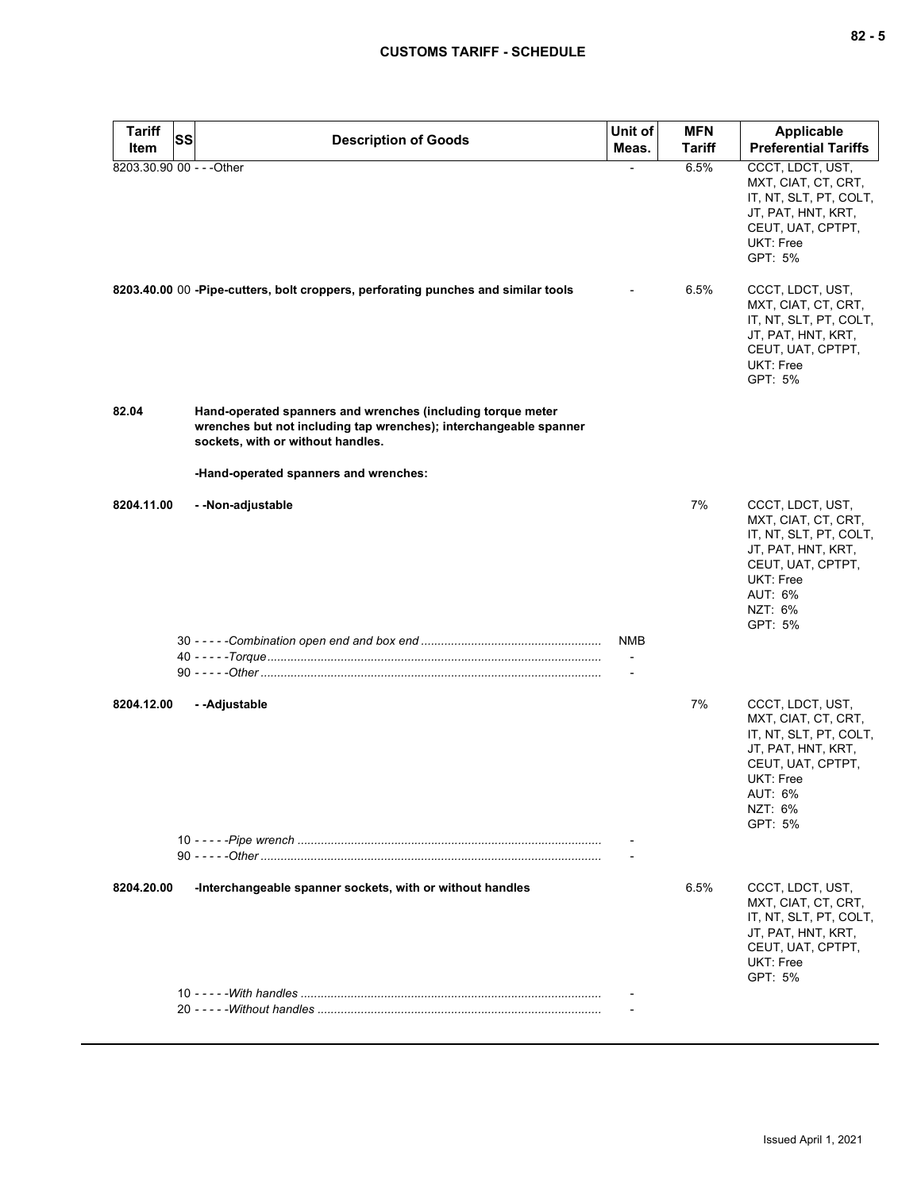| <b>Tariff</b>             | <b>SS</b> |                                                                                                                                                                       | Unit of                                     | <b>MFN</b> | <b>Applicable</b>                                                                                                                                          |
|---------------------------|-----------|-----------------------------------------------------------------------------------------------------------------------------------------------------------------------|---------------------------------------------|------------|------------------------------------------------------------------------------------------------------------------------------------------------------------|
| Item                      |           | <b>Description of Goods</b>                                                                                                                                           | Meas.                                       | Tariff     | <b>Preferential Tariffs</b>                                                                                                                                |
| 8203.30.90 00 - - - Other |           |                                                                                                                                                                       |                                             | 6.5%       | CCCT, LDCT, UST,<br>MXT, CIAT, CT, CRT,<br>IT, NT, SLT, PT, COLT,<br>JT, PAT, HNT, KRT,<br>CEUT, UAT, CPTPT,<br>UKT: Free<br>GPT: 5%                       |
|                           |           | 8203.40.00 00 -Pipe-cutters, bolt croppers, perforating punches and similar tools                                                                                     |                                             | 6.5%       | CCCT, LDCT, UST,<br>MXT, CIAT, CT, CRT,<br>IT, NT, SLT, PT, COLT,<br>JT, PAT, HNT, KRT,<br>CEUT, UAT, CPTPT,<br>UKT: Free<br>GPT: 5%                       |
| 82.04                     |           | Hand-operated spanners and wrenches (including torque meter<br>wrenches but not including tap wrenches); interchangeable spanner<br>sockets, with or without handles. |                                             |            |                                                                                                                                                            |
|                           |           | -Hand-operated spanners and wrenches:                                                                                                                                 |                                             |            |                                                                                                                                                            |
| 8204.11.00                |           | - - Non-adjustable                                                                                                                                                    |                                             | 7%         | CCCT, LDCT, UST,<br>MXT, CIAT, CT, CRT,<br>IT, NT, SLT, PT, COLT,<br>JT, PAT, HNT, KRT,<br>CEUT, UAT, CPTPT,<br>UKT: Free<br>AUT: 6%<br>NZT: 6%<br>GPT: 5% |
|                           |           |                                                                                                                                                                       | <b>NMB</b><br>$\overline{\phantom{a}}$<br>÷ |            |                                                                                                                                                            |
| 8204.12.00                |           | --Adjustable                                                                                                                                                          |                                             | 7%         | CCCT, LDCT, UST,<br>MXT, CIAT, CT, CRT,<br>IT, NT, SLT, PT, COLT,<br>JT, PAT, HNT, KRT,<br>CEUT, UAT, CPTPT,<br>UKT: Free<br>AUT: 6%<br>NZT: 6%<br>GPT: 5% |
|                           |           |                                                                                                                                                                       | $\blacksquare$                              |            |                                                                                                                                                            |
| 8204.20.00                |           | -Interchangeable spanner sockets, with or without handles                                                                                                             |                                             | 6.5%       | CCCT, LDCT, UST,<br>MXT, CIAT, CT, CRT,<br>IT, NT, SLT, PT, COLT,<br>JT, PAT, HNT, KRT,<br>CEUT, UAT, CPTPT,<br>UKT: Free<br>GPT: 5%                       |
|                           |           |                                                                                                                                                                       |                                             |            |                                                                                                                                                            |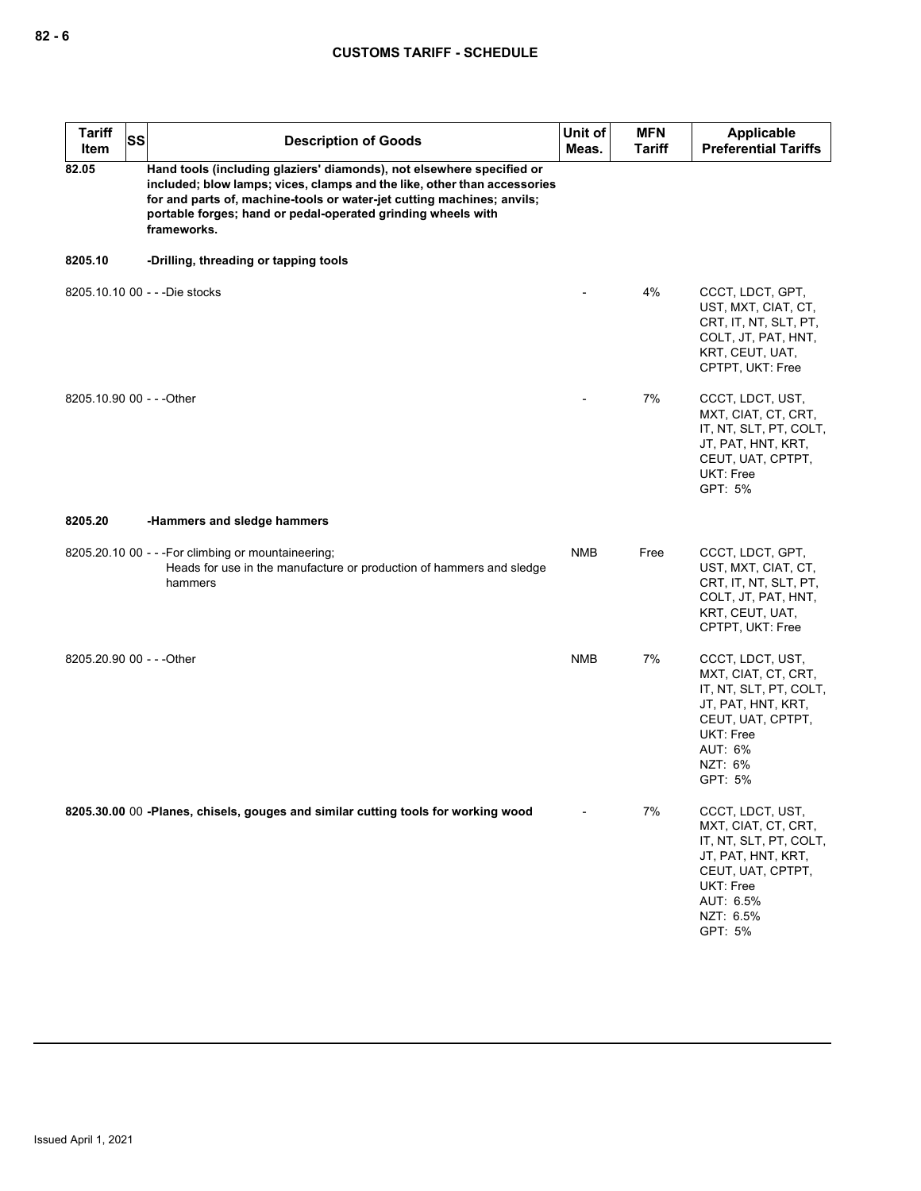| <b>Tariff</b><br>Item     | <b>SS</b> | <b>Description of Goods</b>                                                                                                                                                                                                                                                                                | Unit of<br>Meas. | <b>MFN</b><br><b>Tariff</b> | Applicable<br><b>Preferential Tariffs</b>                                                                                                                      |
|---------------------------|-----------|------------------------------------------------------------------------------------------------------------------------------------------------------------------------------------------------------------------------------------------------------------------------------------------------------------|------------------|-----------------------------|----------------------------------------------------------------------------------------------------------------------------------------------------------------|
| 82.05                     |           | Hand tools (including glaziers' diamonds), not elsewhere specified or<br>included; blow lamps; vices, clamps and the like, other than accessories<br>for and parts of, machine-tools or water-jet cutting machines; anvils;<br>portable forges; hand or pedal-operated grinding wheels with<br>frameworks. |                  |                             |                                                                                                                                                                |
| 8205.10                   |           | -Drilling, threading or tapping tools                                                                                                                                                                                                                                                                      |                  |                             |                                                                                                                                                                |
|                           |           | 8205.10.10 00 - - - Die stocks                                                                                                                                                                                                                                                                             |                  | 4%                          | CCCT, LDCT, GPT,<br>UST, MXT, CIAT, CT,<br>CRT, IT, NT, SLT, PT,<br>COLT, JT, PAT, HNT,<br>KRT, CEUT, UAT,<br>CPTPT, UKT: Free                                 |
| 8205.10.90 00 - - - Other |           |                                                                                                                                                                                                                                                                                                            |                  | 7%                          | CCCT, LDCT, UST,<br>MXT, CIAT, CT, CRT,<br>IT, NT, SLT, PT, COLT,<br>JT, PAT, HNT, KRT,<br>CEUT, UAT, CPTPT,<br>UKT: Free<br>GPT: 5%                           |
| 8205.20                   |           | -Hammers and sledge hammers                                                                                                                                                                                                                                                                                |                  |                             |                                                                                                                                                                |
|                           |           | 8205.20.10 00 - - - For climbing or mountaineering;<br>Heads for use in the manufacture or production of hammers and sledge<br>hammers                                                                                                                                                                     | <b>NMB</b>       | Free                        | CCCT, LDCT, GPT,<br>UST, MXT, CIAT, CT,<br>CRT, IT, NT, SLT, PT,<br>COLT, JT, PAT, HNT,<br>KRT, CEUT, UAT,<br>CPTPT, UKT: Free                                 |
| 8205.20.90 00 - - - Other |           |                                                                                                                                                                                                                                                                                                            | <b>NMB</b>       | 7%                          | CCCT, LDCT, UST,<br>MXT, CIAT, CT, CRT,<br>IT, NT, SLT, PT, COLT,<br>JT, PAT, HNT, KRT,<br>CEUT, UAT, CPTPT,<br>UKT: Free<br>AUT: 6%<br>NZT: 6%<br>GPT: 5%     |
|                           |           | 8205.30.00 00 -Planes, chisels, gouges and similar cutting tools for working wood                                                                                                                                                                                                                          |                  | 7%                          | CCCT, LDCT, UST,<br>MXT, CIAT, CT, CRT,<br>IT, NT, SLT, PT, COLT,<br>JT, PAT, HNT, KRT,<br>CEUT, UAT, CPTPT,<br>UKT: Free<br>AUT: 6.5%<br>NZT: 6.5%<br>GPT: 5% |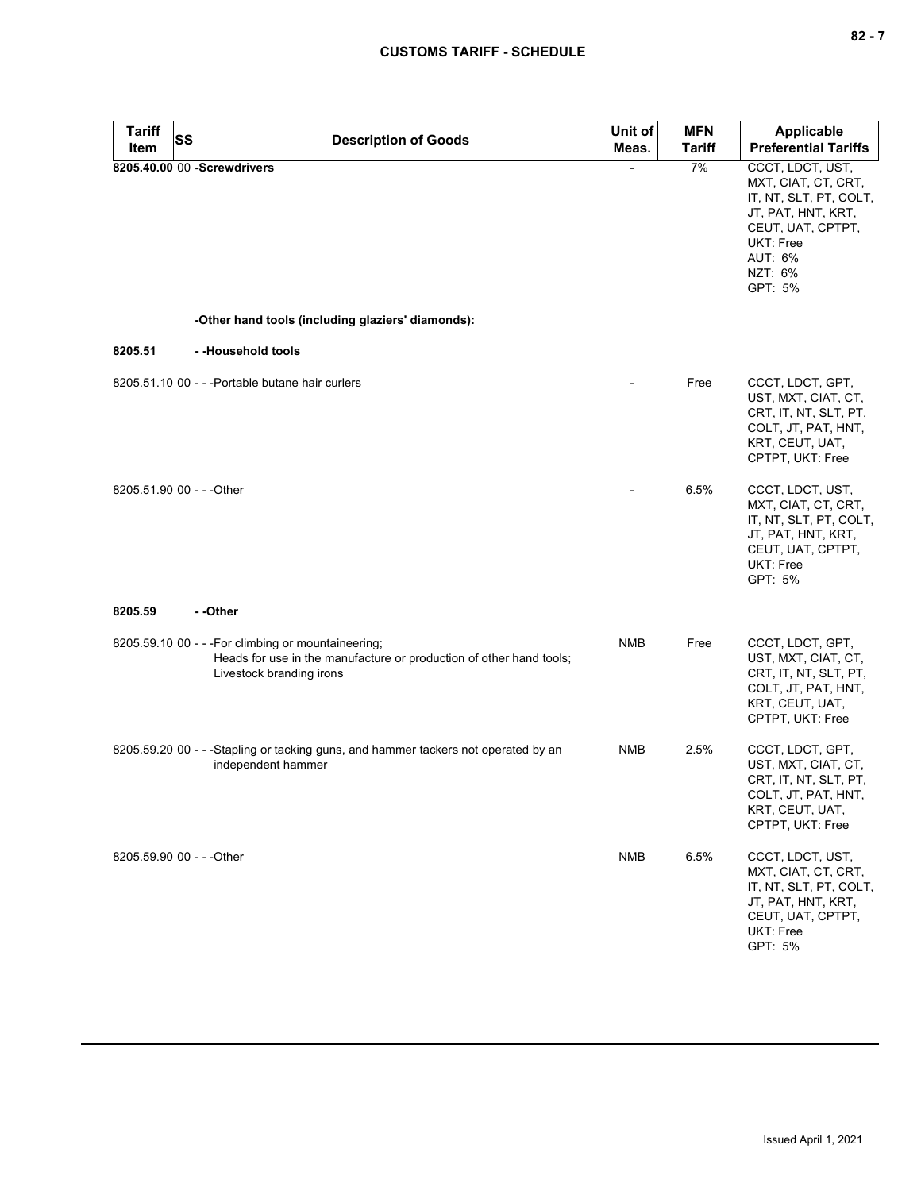| <b>Tariff</b><br>Item     | SS | <b>Description of Goods</b>                                                                                                                            | Unit of<br>Meas. | <b>MFN</b><br><b>Tariff</b> | <b>Applicable</b><br><b>Preferential Tariffs</b>                                                                                                                  |
|---------------------------|----|--------------------------------------------------------------------------------------------------------------------------------------------------------|------------------|-----------------------------|-------------------------------------------------------------------------------------------------------------------------------------------------------------------|
|                           |    | 8205.40.00 00 -Screwdrivers                                                                                                                            | $\blacksquare$   | 7%                          | CCCT, LDCT, UST,<br>MXT, CIAT, CT, CRT,<br>IT, NT, SLT, PT, COLT,<br>JT, PAT, HNT, KRT,<br>CEUT, UAT, CPTPT,<br><b>UKT: Free</b><br>AUT: 6%<br>NZT: 6%<br>GPT: 5% |
|                           |    | -Other hand tools (including glaziers' diamonds):                                                                                                      |                  |                             |                                                                                                                                                                   |
| 8205.51                   |    | --Household tools                                                                                                                                      |                  |                             |                                                                                                                                                                   |
|                           |    | 8205.51.10 00 - - - Portable butane hair curlers                                                                                                       |                  | Free                        | CCCT, LDCT, GPT,<br>UST, MXT, CIAT, CT,<br>CRT, IT, NT, SLT, PT,<br>COLT, JT, PAT, HNT,<br>KRT, CEUT, UAT,<br>CPTPT, UKT: Free                                    |
| 8205.51.90 00 - - - Other |    |                                                                                                                                                        |                  | 6.5%                        | CCCT, LDCT, UST,<br>MXT, CIAT, CT, CRT,<br>IT, NT, SLT, PT, COLT,<br>JT, PAT, HNT, KRT,<br>CEUT, UAT, CPTPT,<br><b>UKT: Free</b><br>GPT: 5%                       |
| 8205.59                   |    | - -Other                                                                                                                                               |                  |                             |                                                                                                                                                                   |
|                           |    | 8205.59.10 00 - - - For climbing or mountaineering;<br>Heads for use in the manufacture or production of other hand tools;<br>Livestock branding irons | <b>NMB</b>       | Free                        | CCCT, LDCT, GPT,<br>UST, MXT, CIAT, CT,<br>CRT, IT, NT, SLT, PT,<br>COLT, JT, PAT, HNT,<br>KRT, CEUT, UAT,<br>CPTPT, UKT: Free                                    |
|                           |    | 8205.59.20 00 - - -Stapling or tacking guns, and hammer tackers not operated by an<br>independent hammer                                               | <b>NMB</b>       | 2.5%                        | CCCT, LDCT, GPT,<br>UST, MXT, CIAT, CT,<br>CRT, IT, NT, SLT, PT,<br>COLT, JT, PAT, HNT,<br>KRT, CEUT, UAT,<br>CPTPT, UKT: Free                                    |
| 8205.59.90 00 - - - Other |    |                                                                                                                                                        | <b>NMB</b>       | 6.5%                        | CCCT, LDCT, UST,<br>MXT, CIAT, CT, CRT,<br>IT, NT, SLT, PT, COLT,<br>JT, PAT, HNT, KRT,<br>CEUT, UAT, CPTPT,<br>UKT: Free<br>GPT: 5%                              |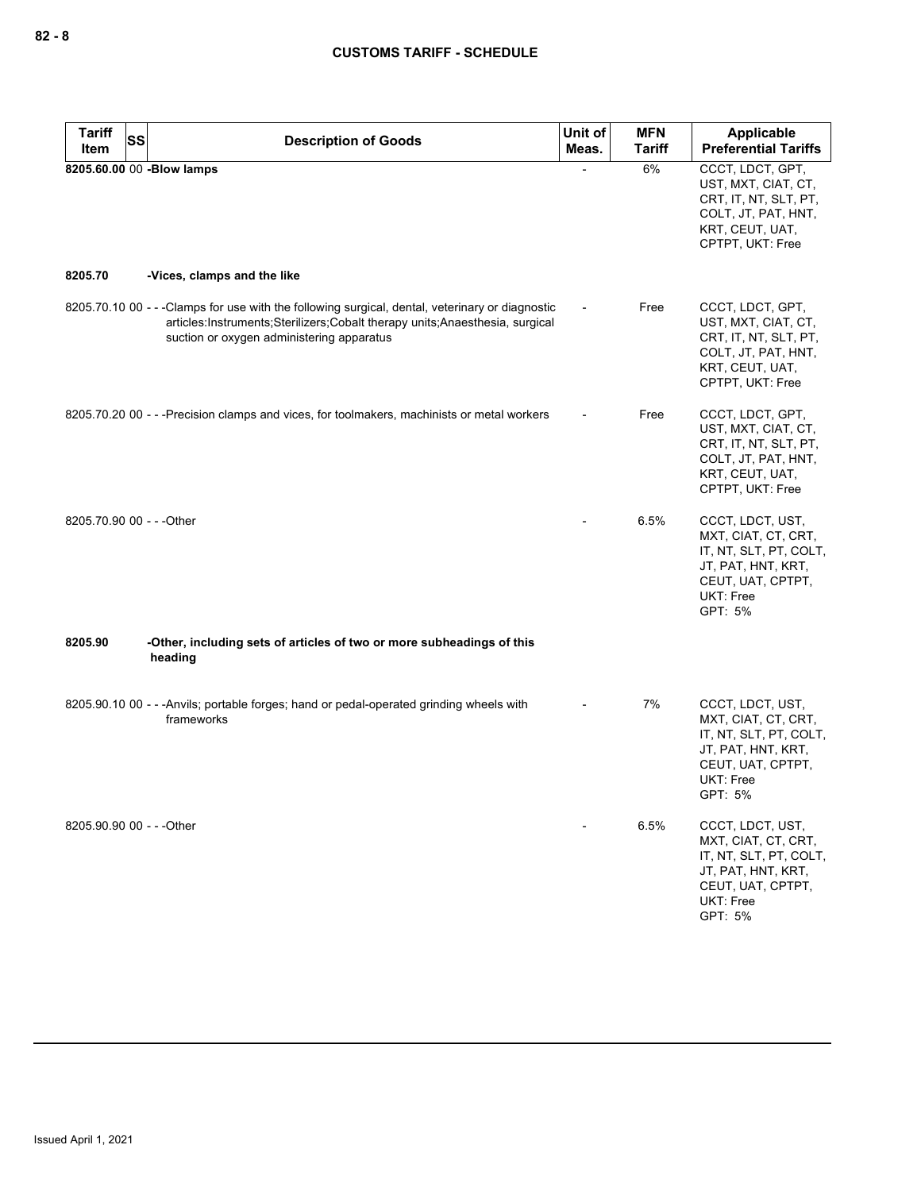| Tariff<br>SS<br>Item      | <b>Description of Goods</b>                                                                                                                                                                                                  | Unit of<br>Meas. | <b>MFN</b><br><b>Tariff</b> | Applicable<br><b>Preferential Tariffs</b>                                                                                            |
|---------------------------|------------------------------------------------------------------------------------------------------------------------------------------------------------------------------------------------------------------------------|------------------|-----------------------------|--------------------------------------------------------------------------------------------------------------------------------------|
| 8205.60.00 00 -Blow lamps |                                                                                                                                                                                                                              |                  | 6%                          | CCCT, LDCT, GPT,<br>UST, MXT, CIAT, CT,<br>CRT, IT, NT, SLT, PT,<br>COLT, JT, PAT, HNT,<br>KRT, CEUT, UAT,<br>CPTPT, UKT: Free       |
| 8205.70                   | -Vices, clamps and the like                                                                                                                                                                                                  |                  |                             |                                                                                                                                      |
|                           | 8205.70.10 00 - - - Clamps for use with the following surgical, dental, veterinary or diagnostic<br>articles:Instruments;Sterilizers;Cobalt therapy units;Anaesthesia, surgical<br>suction or oxygen administering apparatus |                  | Free                        | CCCT, LDCT, GPT,<br>UST, MXT, CIAT, CT,<br>CRT, IT, NT, SLT, PT,<br>COLT, JT, PAT, HNT,<br>KRT, CEUT, UAT,<br>CPTPT, UKT: Free       |
|                           | 8205.70.20 00 - - - Precision clamps and vices, for toolmakers, machinists or metal workers                                                                                                                                  |                  | Free                        | CCCT, LDCT, GPT,<br>UST, MXT, CIAT, CT,<br>CRT, IT, NT, SLT, PT,<br>COLT, JT, PAT, HNT,<br>KRT, CEUT, UAT,<br>CPTPT, UKT: Free       |
| 8205.70.90 00 - - - Other |                                                                                                                                                                                                                              |                  | 6.5%                        | CCCT, LDCT, UST,<br>MXT, CIAT, CT, CRT,<br>IT, NT, SLT, PT, COLT,<br>JT, PAT, HNT, KRT,<br>CEUT, UAT, CPTPT,<br>UKT: Free<br>GPT: 5% |
| 8205.90                   | -Other, including sets of articles of two or more subheadings of this<br>heading                                                                                                                                             |                  |                             |                                                                                                                                      |
|                           | 8205.90.10 00 - - - Anvils; portable forges; hand or pedal-operated grinding wheels with<br>frameworks                                                                                                                       |                  | 7%                          | CCCT, LDCT, UST,<br>MXT, CIAT, CT, CRT,<br>IT, NT, SLT, PT, COLT,<br>JT, PAT, HNT, KRT,<br>CEUT, UAT, CPTPT,<br>UKT: Free<br>GPT: 5% |
| 8205.90.90 00 - - - Other |                                                                                                                                                                                                                              |                  | 6.5%                        | CCCT, LDCT, UST,<br>MXT, CIAT, CT, CRT,<br>IT, NT, SLT, PT, COLT,<br>JT, PAT, HNT, KRT,<br>CEUT, UAT, CPTPT,<br>UKT: Free<br>GPT: 5% |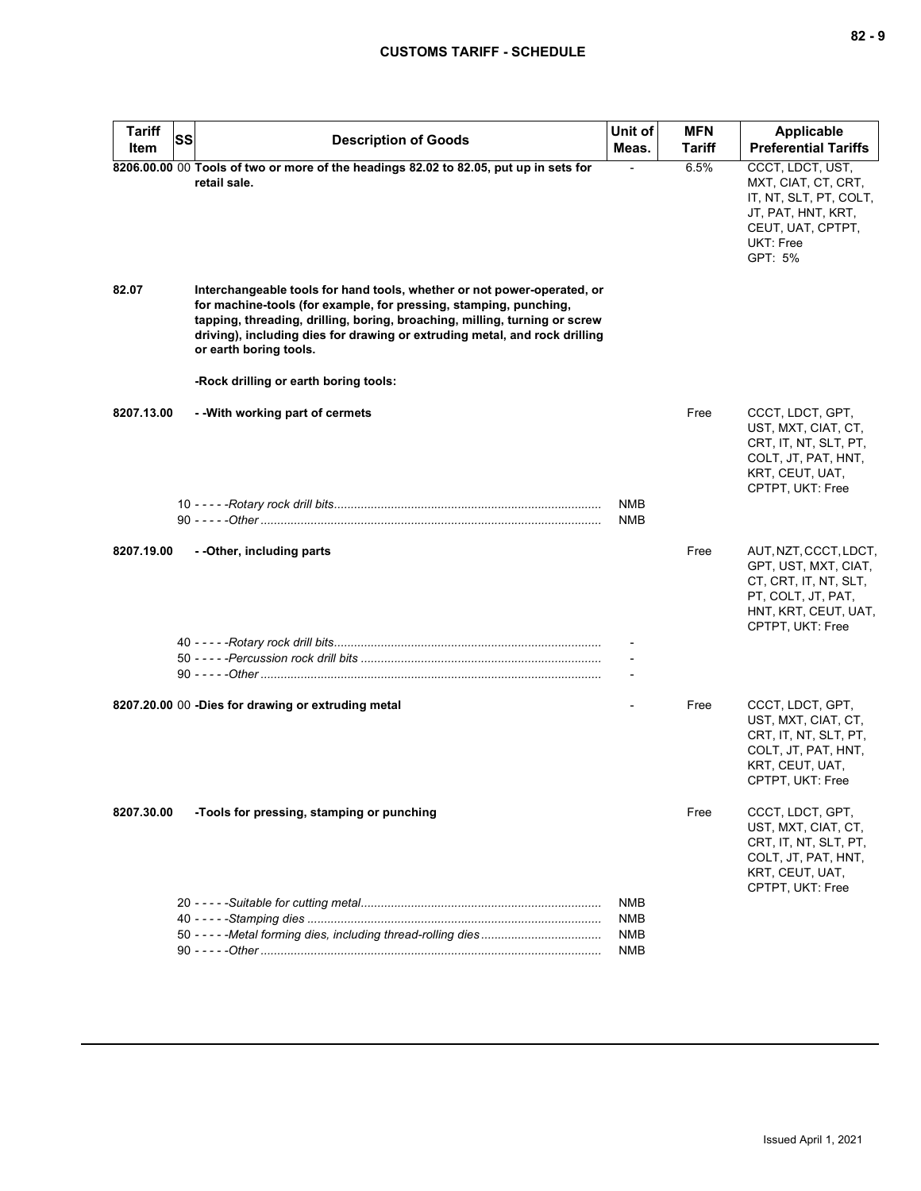| <b>Tariff</b><br>SS<br>Item | <b>Description of Goods</b>                                                                                                                                                                                                                                                                                                        | Unit of<br>Meas.  | <b>MFN</b><br>Tariff | Applicable<br><b>Preferential Tariffs</b>                                                                                                |
|-----------------------------|------------------------------------------------------------------------------------------------------------------------------------------------------------------------------------------------------------------------------------------------------------------------------------------------------------------------------------|-------------------|----------------------|------------------------------------------------------------------------------------------------------------------------------------------|
|                             | 8206.00.00 00 Tools of two or more of the headings 82.02 to 82.05, put up in sets for<br>retail sale.                                                                                                                                                                                                                              |                   | 6.5%                 | CCCT, LDCT, UST,<br>MXT, CIAT, CT, CRT,<br>IT, NT, SLT, PT, COLT,<br>JT, PAT, HNT, KRT,<br>CEUT, UAT, CPTPT,<br>UKT: Free<br>GPT: 5%     |
| 82.07                       | Interchangeable tools for hand tools, whether or not power-operated, or<br>for machine-tools (for example, for pressing, stamping, punching,<br>tapping, threading, drilling, boring, broaching, milling, turning or screw<br>driving), including dies for drawing or extruding metal, and rock drilling<br>or earth boring tools. |                   |                      |                                                                                                                                          |
|                             | -Rock drilling or earth boring tools:                                                                                                                                                                                                                                                                                              |                   |                      |                                                                                                                                          |
| 8207.13.00                  | - - With working part of cermets                                                                                                                                                                                                                                                                                                   |                   | Free                 | CCCT, LDCT, GPT,<br>UST, MXT, CIAT, CT,<br>CRT, IT, NT, SLT, PT,<br>COLT, JT, PAT, HNT,<br>KRT, CEUT, UAT,<br>CPTPT, UKT: Free           |
|                             |                                                                                                                                                                                                                                                                                                                                    | <b>NMB</b>        |                      |                                                                                                                                          |
|                             |                                                                                                                                                                                                                                                                                                                                    | NMB               |                      |                                                                                                                                          |
| 8207.19.00                  | - - Other, including parts                                                                                                                                                                                                                                                                                                         |                   | Free                 | AUT, NZT, CCCT, LDCT,<br>GPT, UST, MXT, CIAT,<br>CT, CRT, IT, NT, SLT,<br>PT, COLT, JT, PAT,<br>HNT, KRT, CEUT, UAT,<br>CPTPT, UKT: Free |
|                             |                                                                                                                                                                                                                                                                                                                                    |                   |                      |                                                                                                                                          |
|                             |                                                                                                                                                                                                                                                                                                                                    |                   |                      |                                                                                                                                          |
|                             | 8207.20.00 00 -Dies for drawing or extruding metal                                                                                                                                                                                                                                                                                 |                   | Free                 | CCCT, LDCT, GPT,<br>UST, MXT, CIAT, CT,<br>CRT, IT, NT, SLT, PT,<br>COLT, JT, PAT, HNT,<br>KRT, CEUT, UAT,<br>CPTPT, UKT: Free           |
| 8207.30.00                  | -Tools for pressing, stamping or punching                                                                                                                                                                                                                                                                                          |                   | Free                 | CCCT, LDCT, GPT,<br>UST, MXT, CIAT, CT,<br>CRT, IT, NT, SLT, PT,<br>COLT, JT, PAT, HNT,<br>KRT, CEUT, UAT,<br>CPTPT, UKT: Free           |
|                             |                                                                                                                                                                                                                                                                                                                                    | NMB               |                      |                                                                                                                                          |
|                             |                                                                                                                                                                                                                                                                                                                                    | NMB<br><b>NMB</b> |                      |                                                                                                                                          |
|                             |                                                                                                                                                                                                                                                                                                                                    | NMB               |                      |                                                                                                                                          |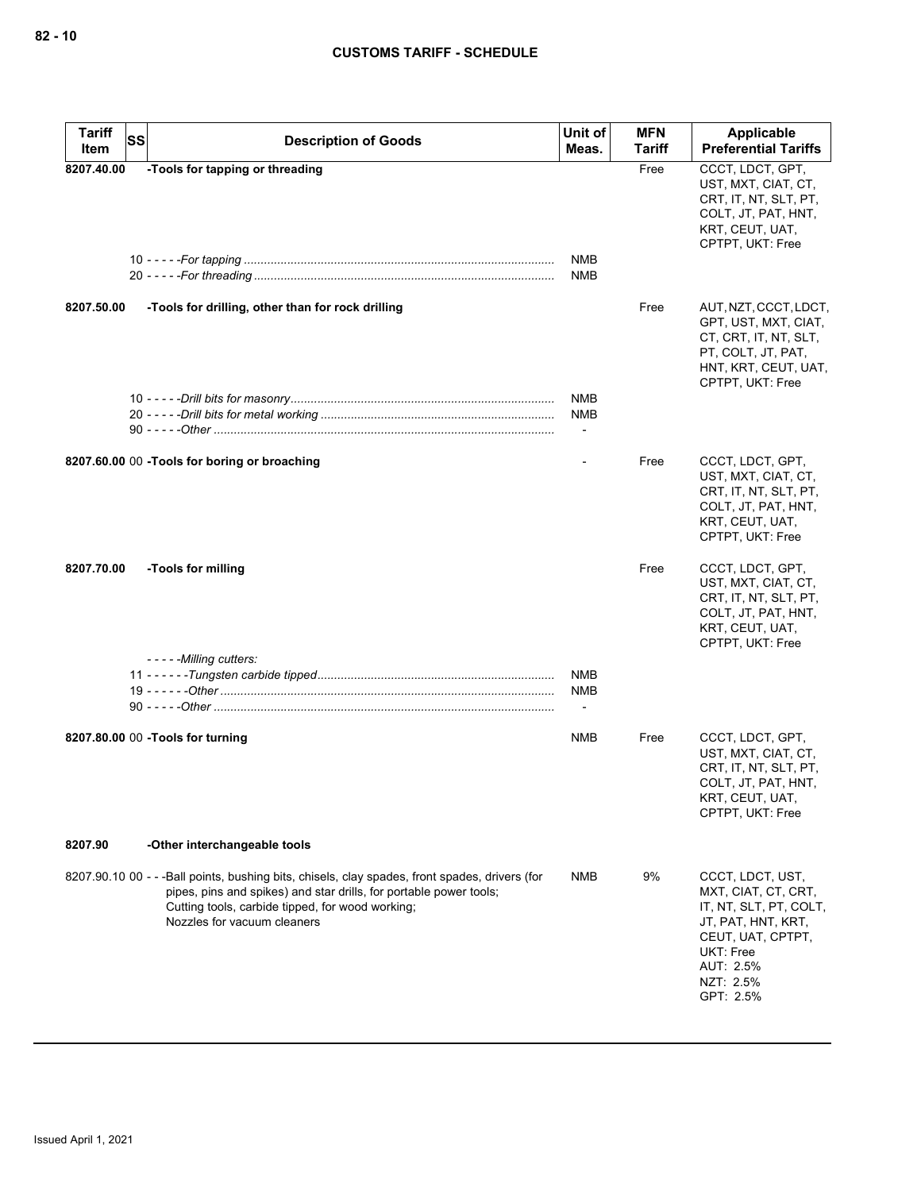| <b>Tariff</b><br><b>SS</b> | <b>Description of Goods</b>                                                                                                                                                                                                                             | Unit of                                              | <b>MFN</b>    | Applicable                                                                                                                                                       |
|----------------------------|---------------------------------------------------------------------------------------------------------------------------------------------------------------------------------------------------------------------------------------------------------|------------------------------------------------------|---------------|------------------------------------------------------------------------------------------------------------------------------------------------------------------|
| Item                       |                                                                                                                                                                                                                                                         | Meas.                                                | <b>Tariff</b> | <b>Preferential Tariffs</b>                                                                                                                                      |
| 8207.40.00                 | -Tools for tapping or threading                                                                                                                                                                                                                         | <b>NMB</b><br><b>NMB</b>                             | Free          | CCCT, LDCT, GPT,<br>UST, MXT, CIAT, CT,<br>CRT, IT, NT, SLT, PT,<br>COLT, JT, PAT, HNT,<br>KRT, CEUT, UAT,<br>CPTPT, UKT: Free                                   |
| 8207.50.00                 | -Tools for drilling, other than for rock drilling                                                                                                                                                                                                       |                                                      | Free          | AUT, NZT, CCCT, LDCT,<br>GPT, UST, MXT, CIAT,<br>CT, CRT, IT, NT, SLT,<br>PT, COLT, JT, PAT,<br>HNT, KRT, CEUT, UAT,<br>CPTPT, UKT: Free                         |
|                            |                                                                                                                                                                                                                                                         | <b>NMB</b><br><b>NMB</b><br>$\overline{\phantom{a}}$ |               |                                                                                                                                                                  |
|                            | 8207.60.00 00 -Tools for boring or broaching                                                                                                                                                                                                            |                                                      | Free          | CCCT, LDCT, GPT,<br>UST, MXT, CIAT, CT,<br>CRT, IT, NT, SLT, PT,<br>COLT, JT, PAT, HNT,<br>KRT, CEUT, UAT,<br>CPTPT, UKT: Free                                   |
| 8207.70.00                 | -Tools for milling                                                                                                                                                                                                                                      |                                                      | Free          | CCCT, LDCT, GPT,<br>UST, MXT, CIAT, CT,<br>CRT, IT, NT, SLT, PT,<br>COLT, JT, PAT, HNT,<br>KRT, CEUT, UAT,<br>CPTPT, UKT: Free                                   |
|                            | ----- Milling cutters:                                                                                                                                                                                                                                  | NMB<br><b>NMB</b>                                    |               |                                                                                                                                                                  |
|                            | 8207.80.00 00 -Tools for turning                                                                                                                                                                                                                        | <b>NMB</b>                                           | Free          | CCCT, LDCT, GPT,<br>UST, MXT, CIAT, CT,<br>CRT, IT, NT, SLT, PT,<br>COLT, JT, PAT, HNT,<br>KRT, CEUT, UAT,<br>CPTPT, UKT: Free                                   |
| 8207.90                    | -Other interchangeable tools                                                                                                                                                                                                                            |                                                      |               |                                                                                                                                                                  |
|                            | 8207.90.10 00 - - -Ball points, bushing bits, chisels, clay spades, front spades, drivers (for<br>pipes, pins and spikes) and star drills, for portable power tools;<br>Cutting tools, carbide tipped, for wood working;<br>Nozzles for vacuum cleaners | <b>NMB</b>                                           | 9%            | CCCT, LDCT, UST,<br>MXT, CIAT, CT, CRT,<br>IT, NT, SLT, PT, COLT,<br>JT, PAT, HNT, KRT,<br>CEUT, UAT, CPTPT,<br>UKT: Free<br>AUT: 2.5%<br>NZT: 2.5%<br>GPT: 2.5% |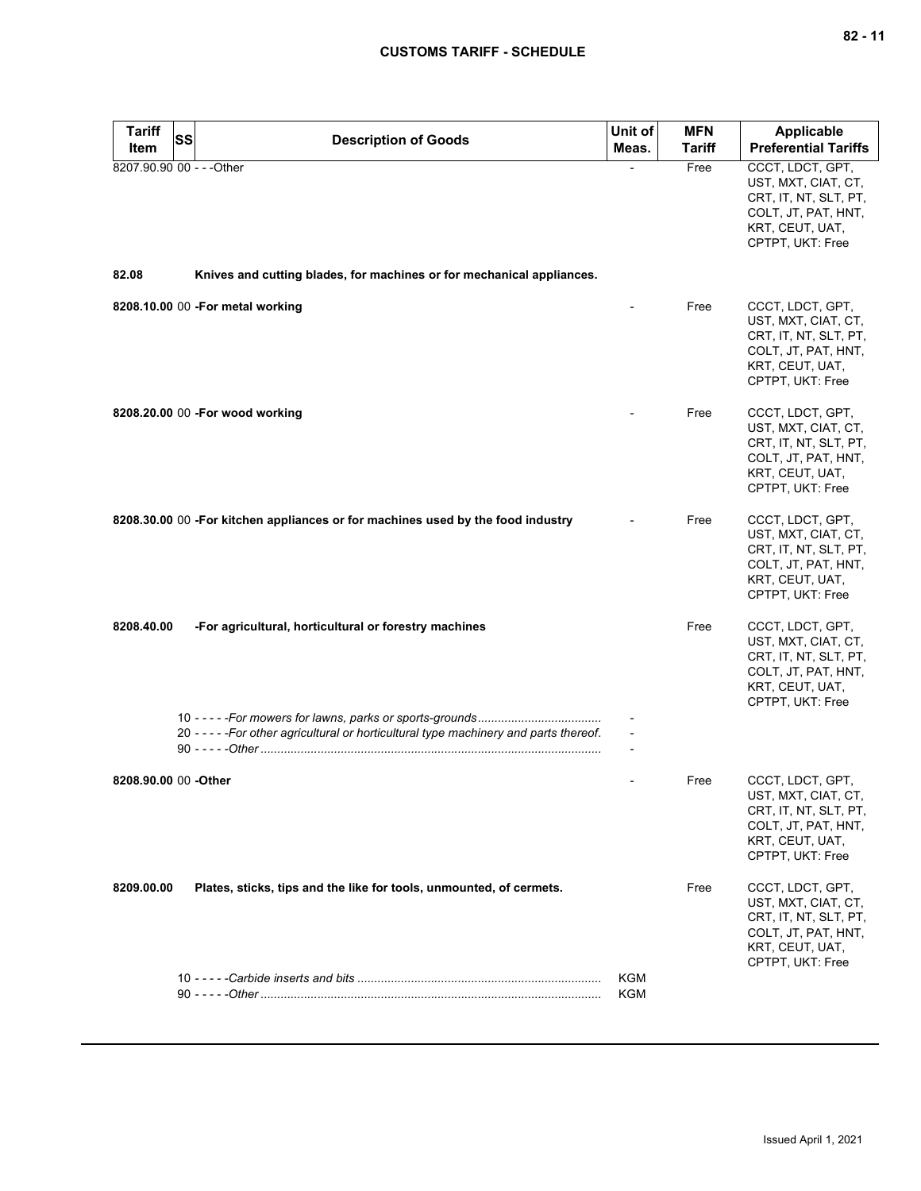| <b>Tariff</b>             | SS<br><b>Description of Goods</b>                                                      | Unit of    | <b>MFN</b>    | Applicable                                                                                                                     |
|---------------------------|----------------------------------------------------------------------------------------|------------|---------------|--------------------------------------------------------------------------------------------------------------------------------|
| Item                      |                                                                                        | Meas.      | <b>Tariff</b> | <b>Preferential Tariffs</b>                                                                                                    |
| 8207.90.90 00 - - - Other |                                                                                        |            | Free          | CCCT, LDCT, GPT,<br>UST, MXT, CIAT, CT,<br>CRT, IT, NT, SLT, PT,<br>COLT, JT, PAT, HNT,<br>KRT, CEUT, UAT,<br>CPTPT, UKT: Free |
| 82.08                     | Knives and cutting blades, for machines or for mechanical appliances.                  |            |               |                                                                                                                                |
|                           | 8208.10.00 00 -For metal working                                                       |            | Free          | CCCT, LDCT, GPT,<br>UST, MXT, CIAT, CT,<br>CRT, IT, NT, SLT, PT,<br>COLT, JT, PAT, HNT,<br>KRT, CEUT, UAT,<br>CPTPT, UKT: Free |
|                           | 8208.20.00 00 - For wood working                                                       |            | Free          | CCCT, LDCT, GPT,<br>UST, MXT, CIAT, CT,<br>CRT, IT, NT, SLT, PT,<br>COLT, JT, PAT, HNT,<br>KRT, CEUT, UAT,<br>CPTPT, UKT: Free |
|                           | 8208.30.00 00 -For kitchen appliances or for machines used by the food industry        |            | Free          | CCCT, LDCT, GPT,<br>UST, MXT, CIAT, CT,<br>CRT, IT, NT, SLT, PT,<br>COLT, JT, PAT, HNT,<br>KRT, CEUT, UAT,<br>CPTPT, UKT: Free |
| 8208.40.00                | -For agricultural, horticultural or forestry machines                                  |            | Free          | CCCT, LDCT, GPT,<br>UST, MXT, CIAT, CT,<br>CRT, IT, NT, SLT, PT,<br>COLT, JT, PAT, HNT,<br>KRT, CEUT, UAT,<br>CPTPT, UKT: Free |
|                           | 20 - - - - - For other agricultural or horticultural type machinery and parts thereof. |            |               |                                                                                                                                |
| 8208.90.00 00 -Other      |                                                                                        |            | Free          | CCCT, LDCT, GPT,<br>UST, MXT, CIAT, CT,<br>CRT, IT, NT, SLT, PT,<br>COLT, JT, PAT, HNT,<br>KRT, CEUT, UAT,<br>CPTPT, UKT: Free |
| 8209.00.00                | Plates, sticks, tips and the like for tools, unmounted, of cermets.                    |            | Free          | CCCT, LDCT, GPT,<br>UST, MXT, CIAT, CT,<br>CRT, IT, NT, SLT, PT,<br>COLT, JT, PAT, HNT,<br>KRT, CEUT, UAT,<br>CPTPT, UKT: Free |
|                           |                                                                                        | KGM<br>KGM |               |                                                                                                                                |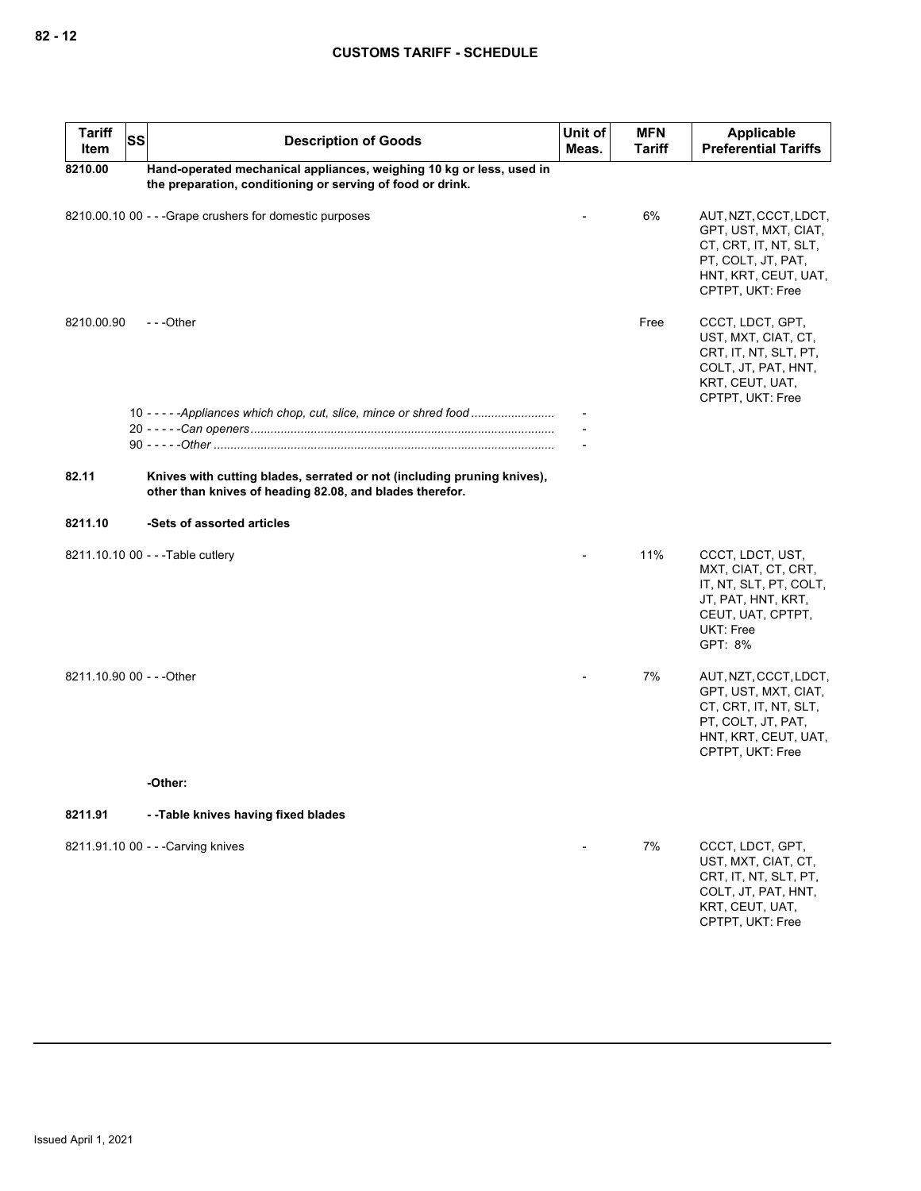| <b>Tariff</b><br>Item     | <b>SS</b> | <b>Description of Goods</b>                                                                                                         | Unit of<br>Meas. | <b>MFN</b><br>Tariff | <b>Applicable</b><br><b>Preferential Tariffs</b>                                                                                         |
|---------------------------|-----------|-------------------------------------------------------------------------------------------------------------------------------------|------------------|----------------------|------------------------------------------------------------------------------------------------------------------------------------------|
| 8210.00                   |           | Hand-operated mechanical appliances, weighing 10 kg or less, used in<br>the preparation, conditioning or serving of food or drink.  |                  |                      |                                                                                                                                          |
|                           |           | 8210.00.10 00 - - - Grape crushers for domestic purposes                                                                            |                  | 6%                   | AUT, NZT, CCCT, LDCT,<br>GPT, UST, MXT, CIAT,<br>CT, CRT, IT, NT, SLT,<br>PT, COLT, JT, PAT,<br>HNT, KRT, CEUT, UAT,<br>CPTPT, UKT: Free |
| 8210.00.90                |           | $- -$ Other                                                                                                                         |                  | Free                 | CCCT, LDCT, GPT,<br>UST, MXT, CIAT, CT,<br>CRT, IT, NT, SLT, PT,<br>COLT, JT, PAT, HNT,<br>KRT, CEUT, UAT,<br>CPTPT, UKT: Free           |
|                           |           | 10 - - - - - Appliances which chop, cut, slice, mince or shred food                                                                 |                  |                      |                                                                                                                                          |
|                           |           |                                                                                                                                     |                  |                      |                                                                                                                                          |
| 82.11                     |           | Knives with cutting blades, serrated or not (including pruning knives),<br>other than knives of heading 82.08, and blades therefor. |                  |                      |                                                                                                                                          |
| 8211.10                   |           | -Sets of assorted articles                                                                                                          |                  |                      |                                                                                                                                          |
|                           |           | 8211.10.10 00 - - - Table cutlery                                                                                                   |                  | 11%                  | CCCT, LDCT, UST,<br>MXT, CIAT, CT, CRT,<br>IT, NT, SLT, PT, COLT,<br>JT, PAT, HNT, KRT,<br>CEUT, UAT, CPTPT,<br>UKT: Free<br>GPT: 8%     |
| 8211.10.90 00 - - - Other |           |                                                                                                                                     |                  | 7%                   | AUT, NZT, CCCT, LDCT,<br>GPT, UST, MXT, CIAT,<br>CT, CRT, IT, NT, SLT,<br>PT, COLT, JT, PAT,<br>HNT, KRT, CEUT, UAT,<br>CPTPT, UKT: Free |
|                           |           | -Other:                                                                                                                             |                  |                      |                                                                                                                                          |
| 8211.91                   |           | --Table knives having fixed blades                                                                                                  |                  |                      |                                                                                                                                          |
|                           |           | 8211.91.10 00 - - - Carving knives                                                                                                  |                  | 7%                   | CCCT, LDCT, GPT,<br>UST, MXT, CIAT, CT,<br>CRT, IT, NT, SLT, PT,<br>COLT, JT, PAT, HNT,<br>KRT, CEUT, UAT,<br>CPTPT, UKT: Free           |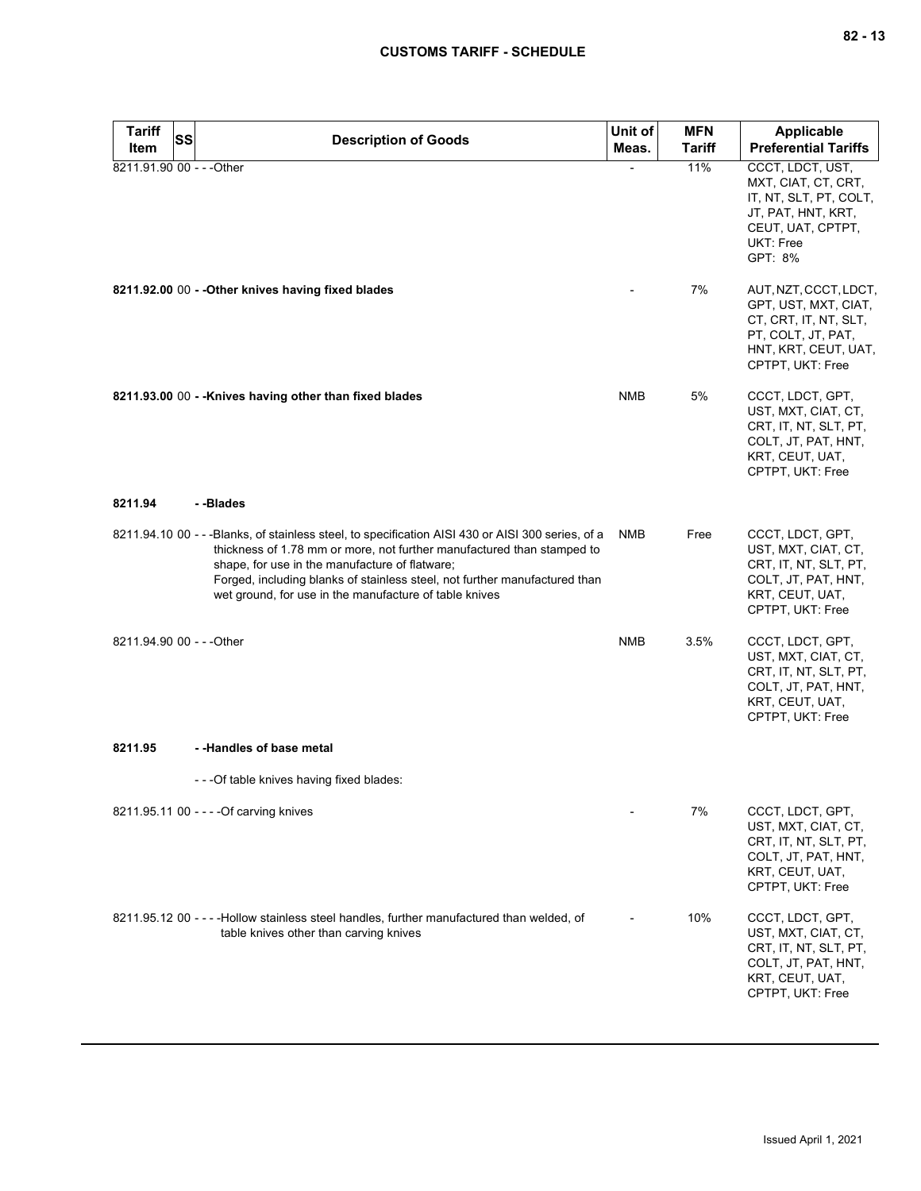| <b>Tariff</b><br>Item     | <b>SS</b> | <b>Description of Goods</b>                                                                                                                                                                                                                                                                                                                                            | Unit of<br>Meas. | <b>MFN</b><br><b>Tariff</b> | <b>Applicable</b><br><b>Preferential Tariffs</b>                                                                                         |
|---------------------------|-----------|------------------------------------------------------------------------------------------------------------------------------------------------------------------------------------------------------------------------------------------------------------------------------------------------------------------------------------------------------------------------|------------------|-----------------------------|------------------------------------------------------------------------------------------------------------------------------------------|
| 8211.91.90 00 - - - Other |           |                                                                                                                                                                                                                                                                                                                                                                        |                  | 11%                         | CCCT, LDCT, UST,                                                                                                                         |
|                           |           |                                                                                                                                                                                                                                                                                                                                                                        |                  |                             | MXT, CIAT, CT, CRT,<br>IT, NT, SLT, PT, COLT,<br>JT, PAT, HNT, KRT,<br>CEUT, UAT, CPTPT,<br>UKT: Free<br>GPT: 8%                         |
|                           |           | 8211.92.00 00 - - Other knives having fixed blades                                                                                                                                                                                                                                                                                                                     |                  | 7%                          | AUT, NZT, CCCT, LDCT,<br>GPT, UST, MXT, CIAT,<br>CT, CRT, IT, NT, SLT,<br>PT, COLT, JT, PAT,<br>HNT, KRT, CEUT, UAT,<br>CPTPT, UKT: Free |
|                           |           | 8211.93.00 00 - - Knives having other than fixed blades                                                                                                                                                                                                                                                                                                                | <b>NMB</b>       | 5%                          | CCCT, LDCT, GPT,<br>UST, MXT, CIAT, CT,<br>CRT, IT, NT, SLT, PT,<br>COLT, JT, PAT, HNT,<br>KRT, CEUT, UAT,<br>CPTPT, UKT: Free           |
| 8211.94                   |           | --Blades                                                                                                                                                                                                                                                                                                                                                               |                  |                             |                                                                                                                                          |
|                           |           | 8211.94.10 00 - - - Blanks, of stainless steel, to specification AISI 430 or AISI 300 series, of a<br>thickness of 1.78 mm or more, not further manufactured than stamped to<br>shape, for use in the manufacture of flatware;<br>Forged, including blanks of stainless steel, not further manufactured than<br>wet ground, for use in the manufacture of table knives | NMB              | Free                        | CCCT, LDCT, GPT,<br>UST, MXT, CIAT, CT,<br>CRT, IT, NT, SLT, PT,<br>COLT, JT, PAT, HNT,<br>KRT, CEUT, UAT,<br>CPTPT, UKT: Free           |
| 8211.94.90 00 - - - Other |           |                                                                                                                                                                                                                                                                                                                                                                        | <b>NMB</b>       | 3.5%                        | CCCT, LDCT, GPT,<br>UST, MXT, CIAT, CT,<br>CRT, IT, NT, SLT, PT,<br>COLT, JT, PAT, HNT,<br>KRT, CEUT, UAT,<br>CPTPT, UKT: Free           |
| 8211.95                   |           | - -Handles of base metal                                                                                                                                                                                                                                                                                                                                               |                  |                             |                                                                                                                                          |
|                           |           | - - - Of table knives having fixed blades:                                                                                                                                                                                                                                                                                                                             |                  |                             |                                                                                                                                          |
|                           |           | 8211.95.11 00 - - - - Of carving knives                                                                                                                                                                                                                                                                                                                                |                  | 7%                          | CCCT, LDCT, GPT,<br>UST, MXT, CIAT, CT,<br>CRT, IT, NT, SLT, PT,<br>COLT, JT, PAT, HNT,<br>KRT, CEUT, UAT,<br>CPTPT, UKT: Free           |
|                           |           | 8211.95.12 00 - - - -Hollow stainless steel handles, further manufactured than welded, of<br>table knives other than carving knives                                                                                                                                                                                                                                    |                  | 10%                         | CCCT, LDCT, GPT,<br>UST, MXT, CIAT, CT,<br>CRT, IT, NT, SLT, PT,<br>COLT, JT, PAT, HNT,<br>KRT, CEUT, UAT,<br>CPTPT, UKT: Free           |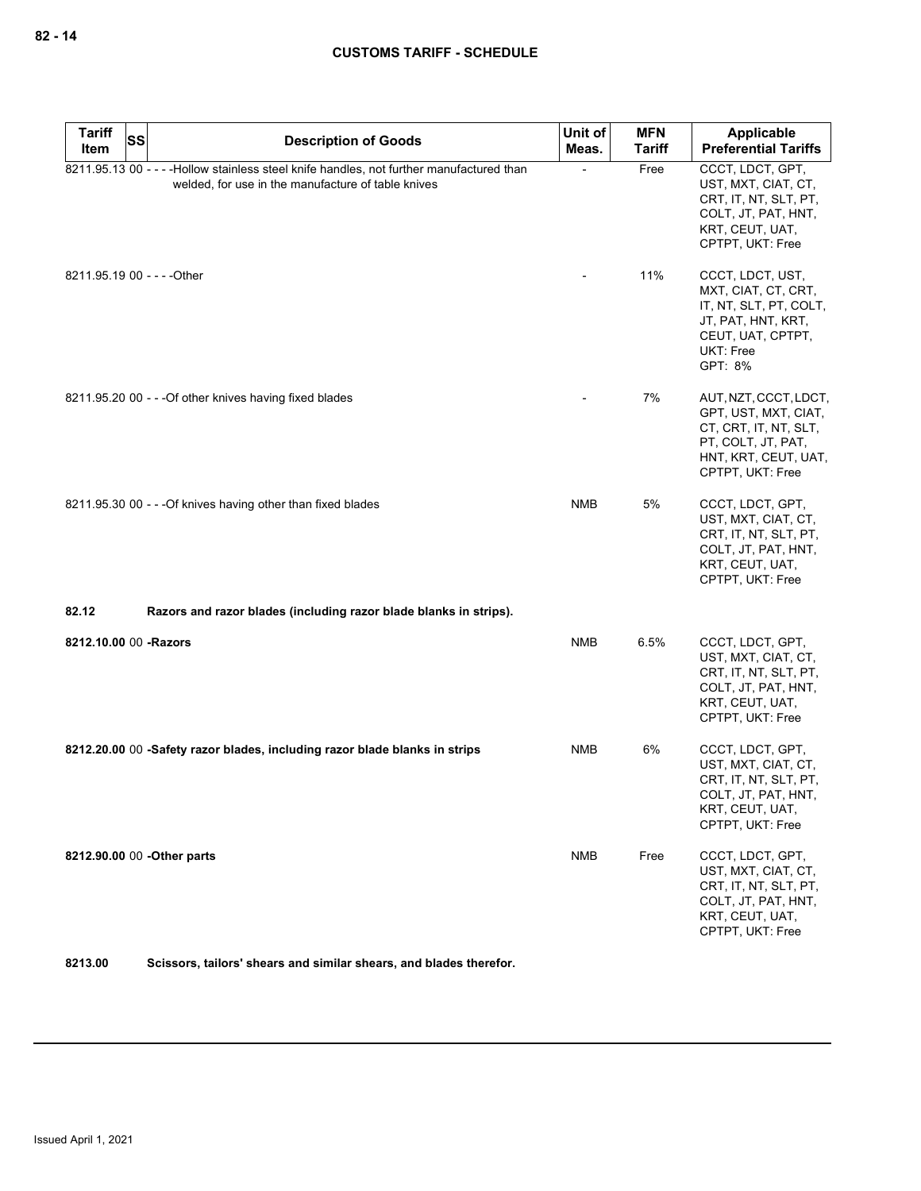| <b>Tariff</b><br><b>SS</b><br>Item | <b>Description of Goods</b>                                                                                                                     | Unit of    | <b>MFN</b>    | Applicable                                                                                                                                  |
|------------------------------------|-------------------------------------------------------------------------------------------------------------------------------------------------|------------|---------------|---------------------------------------------------------------------------------------------------------------------------------------------|
|                                    |                                                                                                                                                 | Meas.      | <b>Tariff</b> | <b>Preferential Tariffs</b>                                                                                                                 |
|                                    | 8211.95.13 00 - - - - Hollow stainless steel knife handles, not further manufactured than<br>welded, for use in the manufacture of table knives |            | Free          | CCCT, LDCT, GPT,<br>UST, MXT, CIAT, CT,<br>CRT, IT, NT, SLT, PT,<br>COLT, JT, PAT, HNT,<br>KRT, CEUT, UAT,<br>CPTPT, UKT: Free              |
|                                    | 8211.95.19 00 - - - - Other                                                                                                                     |            | 11%           | CCCT, LDCT, UST,<br>MXT, CIAT, CT, CRT,<br>IT, NT, SLT, PT, COLT,<br>JT, PAT, HNT, KRT,<br>CEUT, UAT, CPTPT,<br><b>UKT: Free</b><br>GPT: 8% |
|                                    | 8211.95.20 00 - - - Of other knives having fixed blades                                                                                         |            | 7%            | AUT, NZT, CCCT, LDCT,<br>GPT, UST, MXT, CIAT,<br>CT, CRT, IT, NT, SLT,<br>PT, COLT, JT, PAT,<br>HNT, KRT, CEUT, UAT,<br>CPTPT, UKT: Free    |
|                                    | 8211.95.30 00 - - - Of knives having other than fixed blades                                                                                    | <b>NMB</b> | 5%            | CCCT, LDCT, GPT,<br>UST, MXT, CIAT, CT,<br>CRT, IT, NT, SLT, PT,<br>COLT, JT, PAT, HNT,<br>KRT, CEUT, UAT,<br>CPTPT, UKT: Free              |
| 82.12                              | Razors and razor blades (including razor blade blanks in strips).                                                                               |            |               |                                                                                                                                             |
| 8212.10.00 00 -Razors              |                                                                                                                                                 | <b>NMB</b> | 6.5%          | CCCT, LDCT, GPT,<br>UST, MXT, CIAT, CT,<br>CRT, IT, NT, SLT, PT,<br>COLT, JT, PAT, HNT,<br>KRT, CEUT, UAT,<br>CPTPT, UKT: Free              |
|                                    | 8212.20.00 00 -Safety razor blades, including razor blade blanks in strips                                                                      | NMB        | 6%            | CCCT, LDCT, GPT,<br>UST, MXT, CIAT, CT,<br>CRT, IT, NT, SLT, PT,<br>COLT, JT, PAT, HNT,<br>KRT, CEUT, UAT,<br>CPTPT, UKT: Free              |
|                                    | 8212.90.00 00 - Other parts                                                                                                                     | <b>NMB</b> | Free          | CCCT, LDCT, GPT,<br>UST, MXT, CIAT, CT,<br>CRT, IT, NT, SLT, PT,<br>COLT, JT, PAT, HNT,<br>KRT, CEUT, UAT,<br>CPTPT, UKT: Free              |

**8213.00 Scissors, tailors' shears and similar shears, and blades therefor.**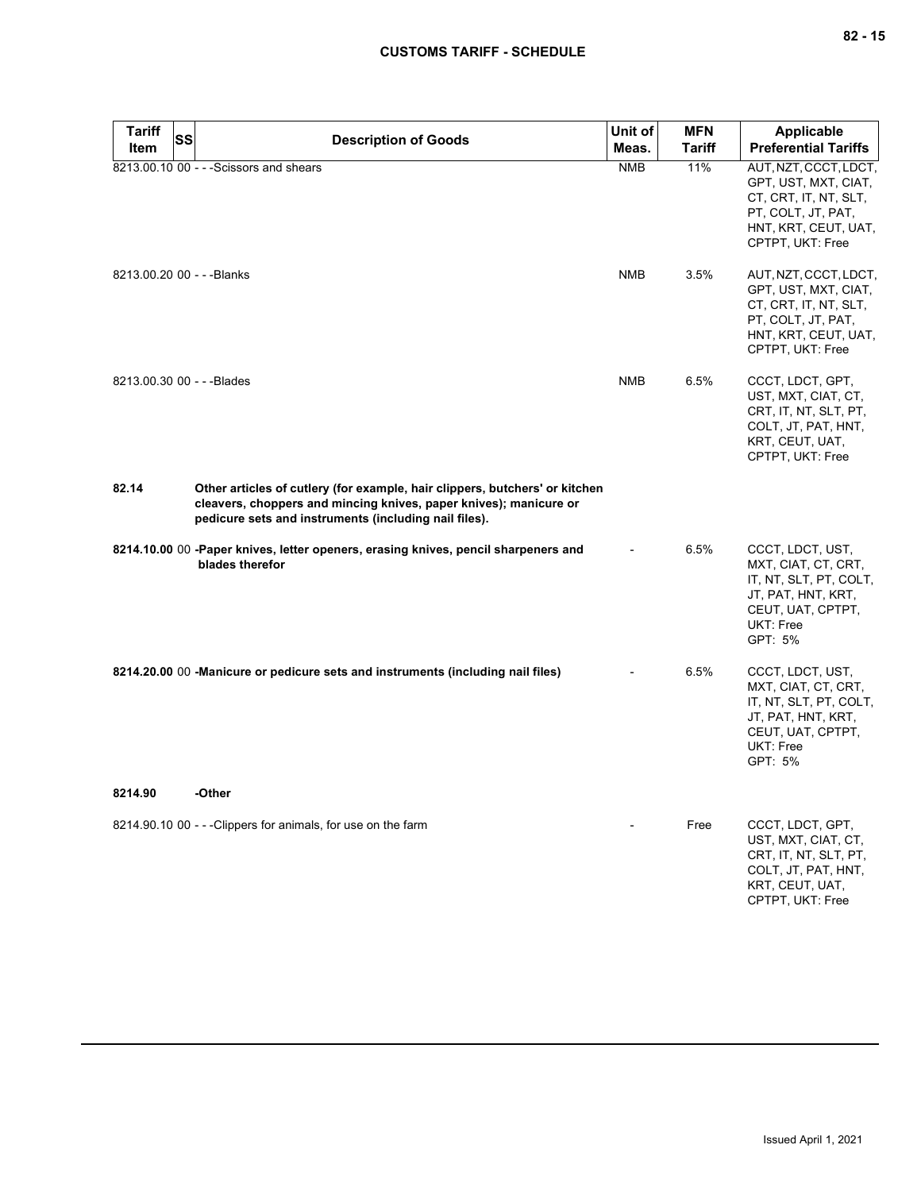| <b>Tariff</b>              | SS<br><b>Description of Goods</b>                                                                                                                                                                         | Unit of    | <b>MFN</b>    | Applicable                                                                                                                                  |
|----------------------------|-----------------------------------------------------------------------------------------------------------------------------------------------------------------------------------------------------------|------------|---------------|---------------------------------------------------------------------------------------------------------------------------------------------|
| Item                       |                                                                                                                                                                                                           | Meas.      | <b>Tariff</b> | <b>Preferential Tariffs</b>                                                                                                                 |
|                            | 8213.00.10 00 - - - Scissors and shears                                                                                                                                                                   | <b>NMB</b> | 11%           | AUT, NZT, CCCT, LDCT,<br>GPT, UST, MXT, CIAT,<br>CT, CRT, IT, NT, SLT,<br>PT, COLT, JT, PAT,<br>HNT, KRT, CEUT, UAT,<br>CPTPT, UKT: Free    |
| 8213.00.20 00 - - - Blanks |                                                                                                                                                                                                           | <b>NMB</b> | 3.5%          | AUT, NZT, CCCT, LDCT,<br>GPT, UST, MXT, CIAT,<br>CT, CRT, IT, NT, SLT,<br>PT, COLT, JT, PAT,<br>HNT, KRT, CEUT, UAT,<br>CPTPT, UKT: Free    |
| 8213.00.30 00 - - - Blades |                                                                                                                                                                                                           | <b>NMB</b> | 6.5%          | CCCT, LDCT, GPT,<br>UST, MXT, CIAT, CT,<br>CRT, IT, NT, SLT, PT,<br>COLT, JT, PAT, HNT,<br>KRT, CEUT, UAT,<br>CPTPT, UKT: Free              |
| 82.14                      | Other articles of cutlery (for example, hair clippers, butchers' or kitchen<br>cleavers, choppers and mincing knives, paper knives); manicure or<br>pedicure sets and instruments (including nail files). |            |               |                                                                                                                                             |
|                            | 8214.10.00 00 -Paper knives, letter openers, erasing knives, pencil sharpeners and<br>blades therefor                                                                                                     |            | 6.5%          | CCCT, LDCT, UST,<br>MXT, CIAT, CT, CRT,<br>IT, NT, SLT, PT, COLT,<br>JT, PAT, HNT, KRT,<br>CEUT, UAT, CPTPT,<br>UKT: Free<br>GPT: 5%        |
|                            | 8214.20.00 00 -Manicure or pedicure sets and instruments (including nail files)                                                                                                                           |            | 6.5%          | CCCT, LDCT, UST,<br>MXT, CIAT, CT, CRT,<br>IT, NT, SLT, PT, COLT,<br>JT, PAT, HNT, KRT,<br>CEUT, UAT, CPTPT,<br><b>UKT: Free</b><br>GPT: 5% |
| 8214.90                    | -Other                                                                                                                                                                                                    |            |               |                                                                                                                                             |
|                            | 8214.90.10 00 - - - Clippers for animals, for use on the farm                                                                                                                                             |            | Free          | CCCT, LDCT, GPT,<br>UST, MXT, CIAT, CT,<br>CRT, IT, NT, SLT, PT,<br>COLT, JT, PAT, HNT,<br>KRT, CEUT, UAT,<br>CPTPT, UKT: Free              |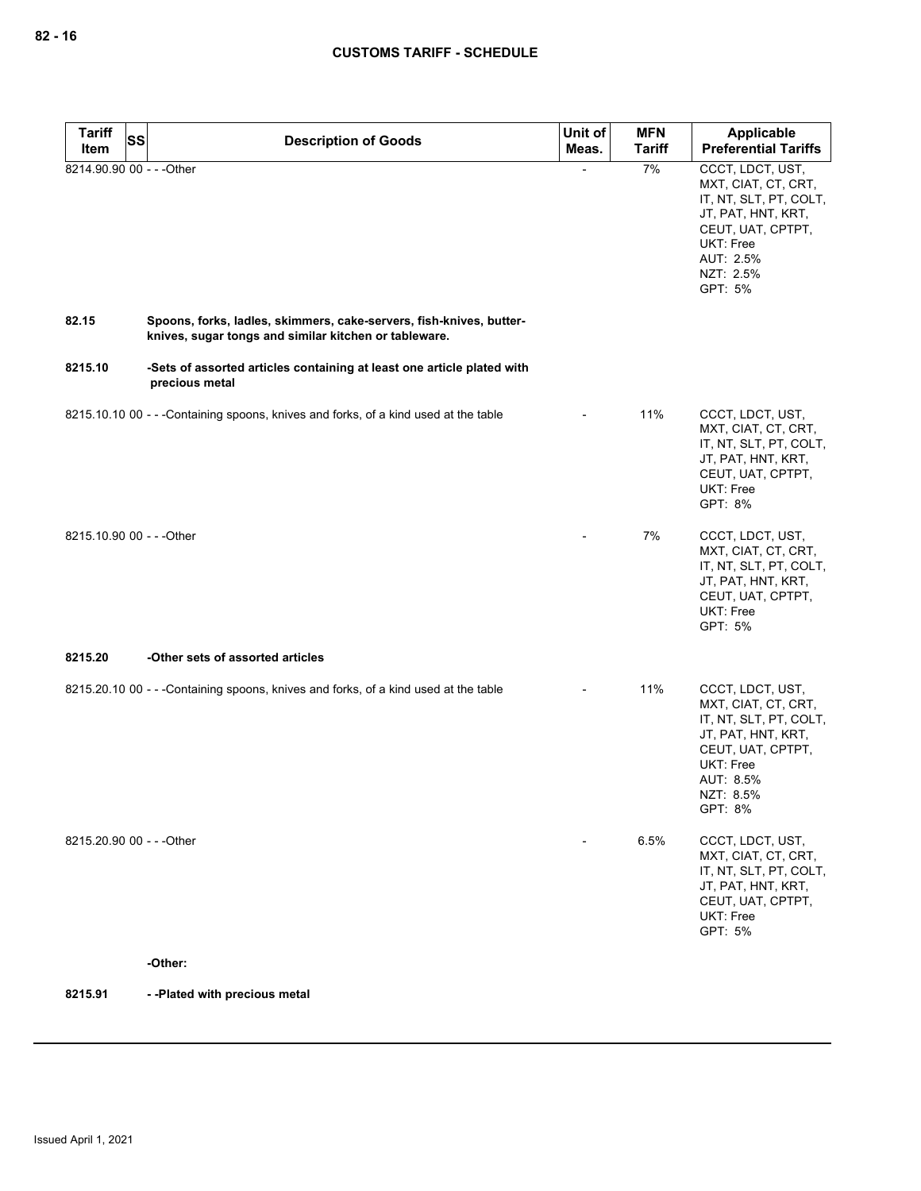| <b>Tariff</b><br><b>SS</b> |                                                                                                                              | Unit of | <b>MFN</b>    | Applicable                                                                                                                                                            |
|----------------------------|------------------------------------------------------------------------------------------------------------------------------|---------|---------------|-----------------------------------------------------------------------------------------------------------------------------------------------------------------------|
| Item                       | <b>Description of Goods</b>                                                                                                  | Meas.   | <b>Tariff</b> | <b>Preferential Tariffs</b>                                                                                                                                           |
| 8214.90.90 00 - - - Other  |                                                                                                                              |         | 7%            | CCCT, LDCT, UST,<br>MXT, CIAT, CT, CRT,<br>IT, NT, SLT, PT, COLT,<br>JT, PAT, HNT, KRT,<br>CEUT, UAT, CPTPT,<br><b>UKT: Free</b><br>AUT: 2.5%<br>NZT: 2.5%<br>GPT: 5% |
| 82.15                      | Spoons, forks, ladles, skimmers, cake-servers, fish-knives, butter-<br>knives, sugar tongs and similar kitchen or tableware. |         |               |                                                                                                                                                                       |
| 8215.10                    | -Sets of assorted articles containing at least one article plated with<br>precious metal                                     |         |               |                                                                                                                                                                       |
|                            | 8215.10.10 00 - - - Containing spoons, knives and forks, of a kind used at the table                                         |         | 11%           | CCCT, LDCT, UST,<br>MXT, CIAT, CT, CRT,<br>IT, NT, SLT, PT, COLT,<br>JT, PAT, HNT, KRT,<br>CEUT, UAT, CPTPT,<br><b>UKT: Free</b><br>GPT: 8%                           |
| 8215.10.90 00 - - - Other  |                                                                                                                              |         | 7%            | CCCT, LDCT, UST,<br>MXT, CIAT, CT, CRT,<br>IT, NT, SLT, PT, COLT,<br>JT, PAT, HNT, KRT,<br>CEUT, UAT, CPTPT,<br>UKT: Free<br>GPT: 5%                                  |
| 8215.20                    | -Other sets of assorted articles                                                                                             |         |               |                                                                                                                                                                       |
|                            | 8215.20.10 00 - - - Containing spoons, knives and forks, of a kind used at the table                                         |         | 11%           | CCCT, LDCT, UST,<br>MXT, CIAT, CT, CRT,<br>IT, NT, SLT, PT, COLT,<br>JT, PAT, HNT, KRT,<br>CEUT, UAT, CPTPT,<br>UKT: Free<br>AUT: 8.5%<br>NZT: 8.5%<br>GPT: 8%        |
| 8215.20.90 00 - - - Other  |                                                                                                                              |         | 6.5%          | CCCT, LDCT, UST,<br>MXT, CIAT, CT, CRT,<br>IT, NT, SLT, PT, COLT,<br>JT, PAT, HNT, KRT,<br>CEUT, UAT, CPTPT,<br>UKT: Free<br>GPT: 5%                                  |
|                            | -Other:                                                                                                                      |         |               |                                                                                                                                                                       |
| 8215.91                    | --Plated with precious metal                                                                                                 |         |               |                                                                                                                                                                       |